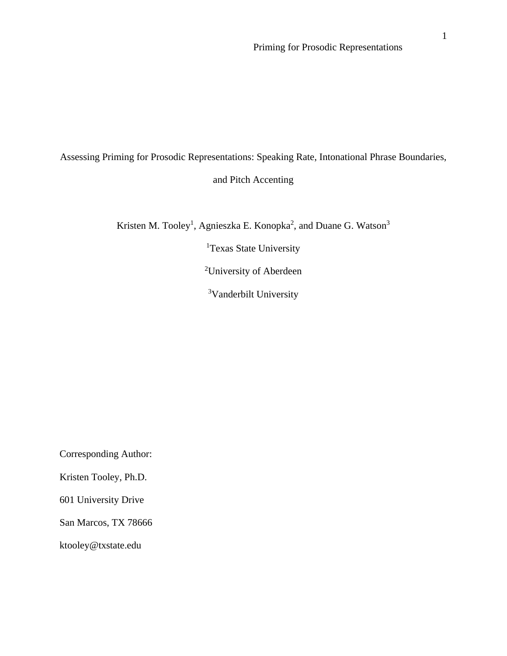# Assessing Priming for Prosodic Representations: Speaking Rate, Intonational Phrase Boundaries, and Pitch Accenting

Kristen M. Tooley<sup>1</sup>, Agnieszka E. Konopka<sup>2</sup>, and Duane G. Watson<sup>3</sup>

<sup>1</sup>Texas State University

<sup>2</sup>University of Aberdeen

<sup>3</sup>Vanderbilt University

Corresponding Author:

Kristen Tooley, Ph.D.

601 University Drive

San Marcos, TX 78666

ktooley@txstate.edu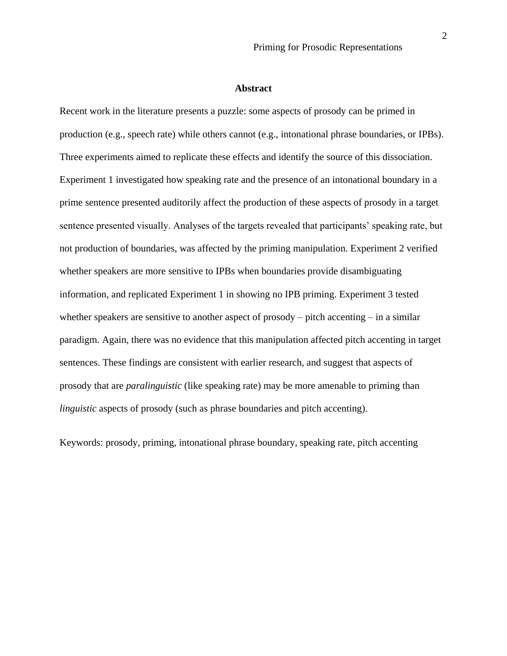#### **Abstract**

Recent work in the literature presents a puzzle: some aspects of prosody can be primed in production (e.g., speech rate) while others cannot (e.g., intonational phrase boundaries, or IPBs). Three experiments aimed to replicate these effects and identify the source of this dissociation. Experiment 1 investigated how speaking rate and the presence of an intonational boundary in a prime sentence presented auditorily affect the production of these aspects of prosody in a target sentence presented visually. Analyses of the targets revealed that participants' speaking rate, but not production of boundaries, was affected by the priming manipulation. Experiment 2 verified whether speakers are more sensitive to IPBs when boundaries provide disambiguating information, and replicated Experiment 1 in showing no IPB priming. Experiment 3 tested whether speakers are sensitive to another aspect of prosody – pitch accenting – in a similar paradigm. Again, there was no evidence that this manipulation affected pitch accenting in target sentences. These findings are consistent with earlier research, and suggest that aspects of prosody that are *paralinguistic* (like speaking rate) may be more amenable to priming than *linguistic* aspects of prosody (such as phrase boundaries and pitch accenting).

Keywords: prosody, priming, intonational phrase boundary, speaking rate, pitch accenting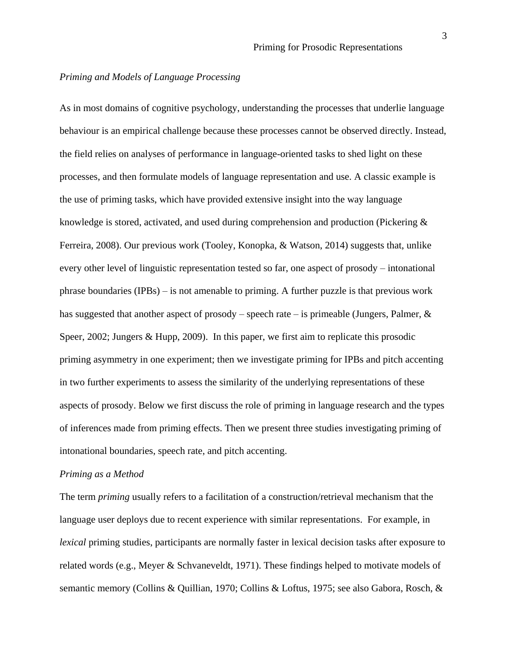# *Priming and Models of Language Processing*

As in most domains of cognitive psychology, understanding the processes that underlie language behaviour is an empirical challenge because these processes cannot be observed directly. Instead, the field relies on analyses of performance in language-oriented tasks to shed light on these processes, and then formulate models of language representation and use. A classic example is the use of priming tasks, which have provided extensive insight into the way language knowledge is stored, activated, and used during comprehension and production (Pickering & Ferreira, 2008). Our previous work (Tooley, Konopka, & Watson, 2014) suggests that, unlike every other level of linguistic representation tested so far, one aspect of prosody – intonational phrase boundaries (IPBs) – is not amenable to priming. A further puzzle is that previous work has suggested that another aspect of prosody – speech rate – is primeable (Jungers, Palmer,  $\&$ Speer, 2002; Jungers & Hupp, 2009). In this paper, we first aim to replicate this prosodic priming asymmetry in one experiment; then we investigate priming for IPBs and pitch accenting in two further experiments to assess the similarity of the underlying representations of these aspects of prosody. Below we first discuss the role of priming in language research and the types of inferences made from priming effects. Then we present three studies investigating priming of intonational boundaries, speech rate, and pitch accenting.

#### *Priming as a Method*

The term *priming* usually refers to a facilitation of a construction/retrieval mechanism that the language user deploys due to recent experience with similar representations. For example, in *lexical* priming studies, participants are normally faster in lexical decision tasks after exposure to related words (e.g., Meyer & Schvaneveldt, 1971). These findings helped to motivate models of semantic memory (Collins & Quillian, 1970; Collins & Loftus, 1975; see also Gabora, Rosch, &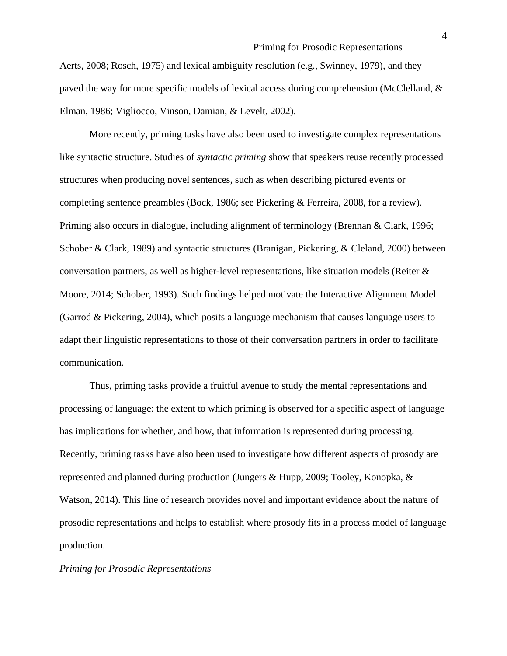Aerts, 2008; Rosch, 1975) and lexical ambiguity resolution (e.g., Swinney, 1979), and they paved the way for more specific models of lexical access during comprehension (McClelland, & Elman, 1986; Vigliocco, Vinson, Damian, & Levelt, 2002).

More recently, priming tasks have also been used to investigate complex representations like syntactic structure. Studies of *syntactic priming* show that speakers reuse recently processed structures when producing novel sentences, such as when describing pictured events or completing sentence preambles (Bock, 1986; see Pickering & Ferreira, 2008, for a review). Priming also occurs in dialogue, including alignment of terminology (Brennan & Clark, 1996; Schober & Clark, 1989) and syntactic structures (Branigan, Pickering, & Cleland, 2000) between conversation partners, as well as higher-level representations, like situation models (Reiter  $\&$ Moore, 2014; Schober, 1993). Such findings helped motivate the Interactive Alignment Model (Garrod & Pickering, 2004), which posits a language mechanism that causes language users to adapt their linguistic representations to those of their conversation partners in order to facilitate communication.

Thus, priming tasks provide a fruitful avenue to study the mental representations and processing of language: the extent to which priming is observed for a specific aspect of language has implications for whether, and how, that information is represented during processing. Recently, priming tasks have also been used to investigate how different aspects of prosody are represented and planned during production (Jungers & Hupp, 2009; Tooley, Konopka, & Watson, 2014). This line of research provides novel and important evidence about the nature of prosodic representations and helps to establish where prosody fits in a process model of language production.

#### *Priming for Prosodic Representations*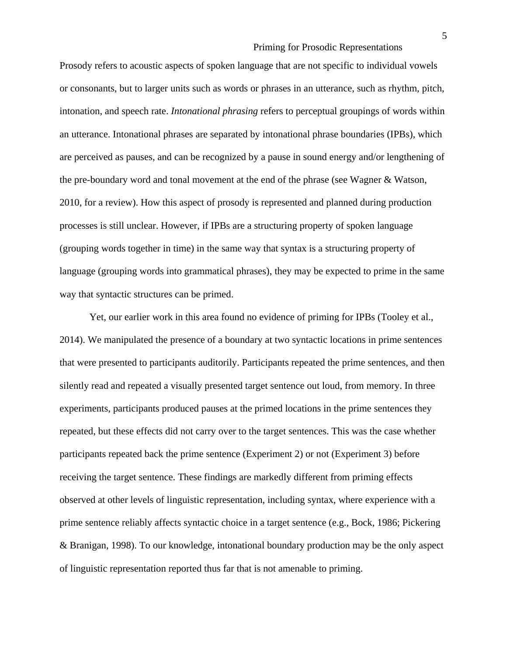Prosody refers to acoustic aspects of spoken language that are not specific to individual vowels or consonants, but to larger units such as words or phrases in an utterance, such as rhythm, pitch, intonation, and speech rate. *Intonational phrasing* refers to perceptual groupings of words within an utterance. Intonational phrases are separated by intonational phrase boundaries (IPBs), which are perceived as pauses, and can be recognized by a pause in sound energy and/or lengthening of the pre-boundary word and tonal movement at the end of the phrase (see Wagner & Watson, 2010, for a review). How this aspect of prosody is represented and planned during production processes is still unclear. However, if IPBs are a structuring property of spoken language (grouping words together in time) in the same way that syntax is a structuring property of language (grouping words into grammatical phrases), they may be expected to prime in the same way that syntactic structures can be primed.

Yet, our earlier work in this area found no evidence of priming for IPBs (Tooley et al., 2014). We manipulated the presence of a boundary at two syntactic locations in prime sentences that were presented to participants auditorily. Participants repeated the prime sentences, and then silently read and repeated a visually presented target sentence out loud, from memory. In three experiments, participants produced pauses at the primed locations in the prime sentences they repeated, but these effects did not carry over to the target sentences. This was the case whether participants repeated back the prime sentence (Experiment 2) or not (Experiment 3) before receiving the target sentence. These findings are markedly different from priming effects observed at other levels of linguistic representation, including syntax, where experience with a prime sentence reliably affects syntactic choice in a target sentence (e.g., Bock, 1986; Pickering & Branigan, 1998). To our knowledge, intonational boundary production may be the only aspect of linguistic representation reported thus far that is not amenable to priming.

5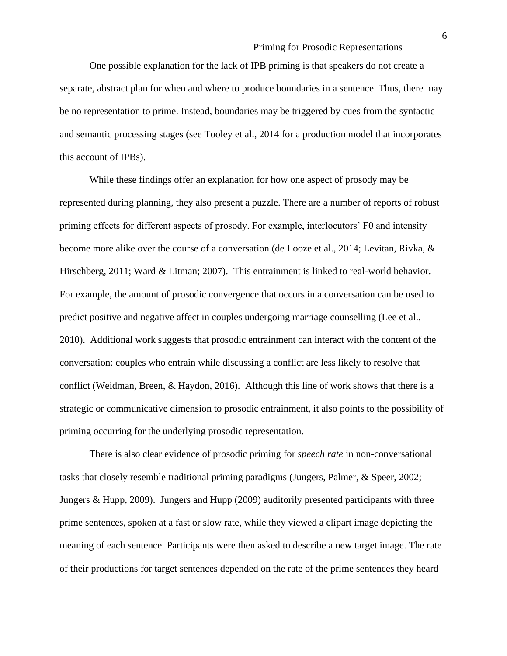One possible explanation for the lack of IPB priming is that speakers do not create a separate, abstract plan for when and where to produce boundaries in a sentence. Thus, there may be no representation to prime. Instead, boundaries may be triggered by cues from the syntactic and semantic processing stages (see Tooley et al., 2014 for a production model that incorporates this account of IPBs).

While these findings offer an explanation for how one aspect of prosody may be represented during planning, they also present a puzzle. There are a number of reports of robust priming effects for different aspects of prosody. For example, interlocutors' F0 and intensity become more alike over the course of a conversation (de Looze et al., 2014; Levitan, Rivka, & Hirschberg, 2011; Ward & Litman; 2007). This entrainment is linked to real-world behavior. For example, the amount of prosodic convergence that occurs in a conversation can be used to predict positive and negative affect in couples undergoing marriage counselling (Lee et al., 2010). Additional work suggests that prosodic entrainment can interact with the content of the conversation: couples who entrain while discussing a conflict are less likely to resolve that conflict (Weidman, Breen, & Haydon, 2016). Although this line of work shows that there is a strategic or communicative dimension to prosodic entrainment, it also points to the possibility of priming occurring for the underlying prosodic representation.

There is also clear evidence of prosodic priming for *speech rate* in non-conversational tasks that closely resemble traditional priming paradigms (Jungers, Palmer, & Speer, 2002; Jungers & Hupp, 2009). Jungers and Hupp (2009) auditorily presented participants with three prime sentences, spoken at a fast or slow rate, while they viewed a clipart image depicting the meaning of each sentence. Participants were then asked to describe a new target image. The rate of their productions for target sentences depended on the rate of the prime sentences they heard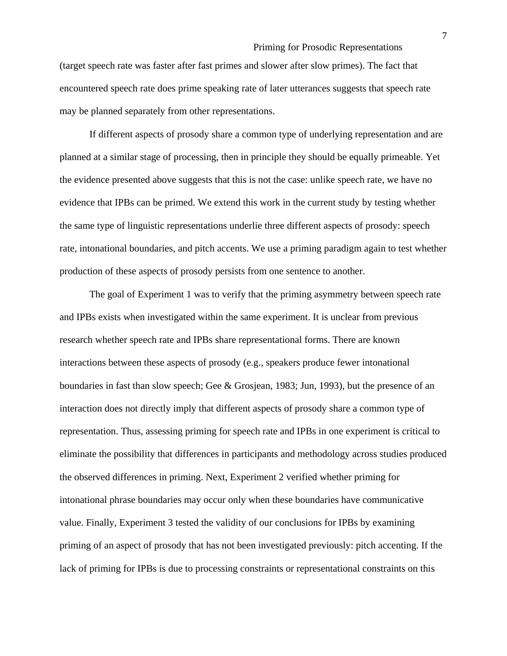(target speech rate was faster after fast primes and slower after slow primes). The fact that encountered speech rate does prime speaking rate of later utterances suggests that speech rate may be planned separately from other representations.

If different aspects of prosody share a common type of underlying representation and are planned at a similar stage of processing, then in principle they should be equally primeable. Yet the evidence presented above suggests that this is not the case: unlike speech rate, we have no evidence that IPBs can be primed. We extend this work in the current study by testing whether the same type of linguistic representations underlie three different aspects of prosody: speech rate, intonational boundaries, and pitch accents. We use a priming paradigm again to test whether production of these aspects of prosody persists from one sentence to another.

The goal of Experiment 1 was to verify that the priming asymmetry between speech rate and IPBs exists when investigated within the same experiment. It is unclear from previous research whether speech rate and IPBs share representational forms. There are known interactions between these aspects of prosody (e.g., speakers produce fewer intonational boundaries in fast than slow speech; Gee & Grosjean, 1983; Jun, 1993), but the presence of an interaction does not directly imply that different aspects of prosody share a common type of representation. Thus, assessing priming for speech rate and IPBs in one experiment is critical to eliminate the possibility that differences in participants and methodology across studies produced the observed differences in priming. Next, Experiment 2 verified whether priming for intonational phrase boundaries may occur only when these boundaries have communicative value. Finally, Experiment 3 tested the validity of our conclusions for IPBs by examining priming of an aspect of prosody that has not been investigated previously: pitch accenting. If the lack of priming for IPBs is due to processing constraints or representational constraints on this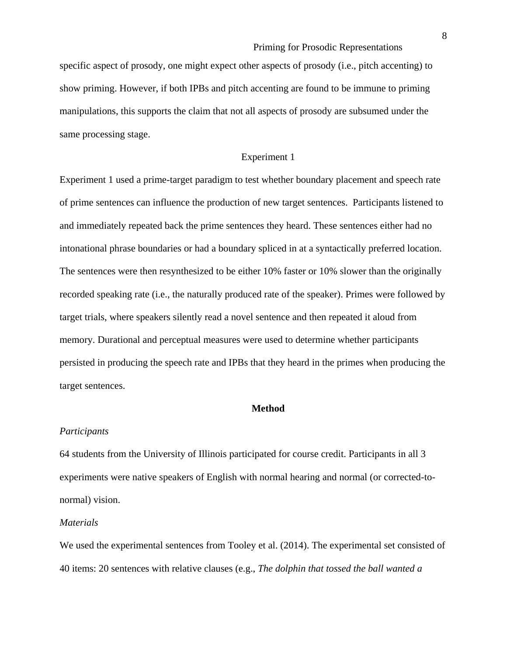specific aspect of prosody, one might expect other aspects of prosody (i.e., pitch accenting) to show priming. However, if both IPBs and pitch accenting are found to be immune to priming manipulations, this supports the claim that not all aspects of prosody are subsumed under the same processing stage.

# Experiment 1

Experiment 1 used a prime-target paradigm to test whether boundary placement and speech rate of prime sentences can influence the production of new target sentences. Participants listened to and immediately repeated back the prime sentences they heard. These sentences either had no intonational phrase boundaries or had a boundary spliced in at a syntactically preferred location. The sentences were then resynthesized to be either 10% faster or 10% slower than the originally recorded speaking rate (i.e., the naturally produced rate of the speaker). Primes were followed by target trials, where speakers silently read a novel sentence and then repeated it aloud from memory. Durational and perceptual measures were used to determine whether participants persisted in producing the speech rate and IPBs that they heard in the primes when producing the target sentences.

#### **Method**

#### *Participants*

64 students from the University of Illinois participated for course credit. Participants in all 3 experiments were native speakers of English with normal hearing and normal (or corrected-tonormal) vision.

#### *Materials*

We used the experimental sentences from Tooley et al. (2014). The experimental set consisted of 40 items: 20 sentences with relative clauses (e.g., *The dolphin that tossed the ball wanted a*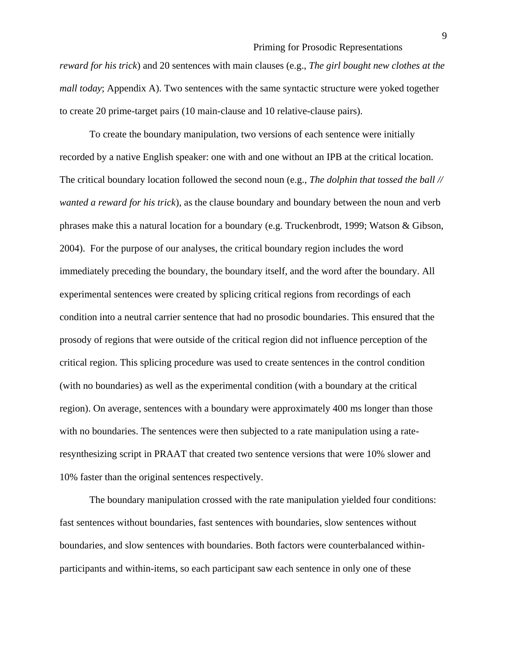*reward for his trick*) and 20 sentences with main clauses (e.g., *The girl bought new clothes at the mall today*; Appendix A). Two sentences with the same syntactic structure were yoked together to create 20 prime-target pairs (10 main-clause and 10 relative-clause pairs).

To create the boundary manipulation, two versions of each sentence were initially recorded by a native English speaker: one with and one without an IPB at the critical location. The critical boundary location followed the second noun (e.g., *The dolphin that tossed the ball // wanted a reward for his trick*), as the clause boundary and boundary between the noun and verb phrases make this a natural location for a boundary (e.g. Truckenbrodt, 1999; Watson & Gibson, 2004). For the purpose of our analyses, the critical boundary region includes the word immediately preceding the boundary, the boundary itself, and the word after the boundary. All experimental sentences were created by splicing critical regions from recordings of each condition into a neutral carrier sentence that had no prosodic boundaries. This ensured that the prosody of regions that were outside of the critical region did not influence perception of the critical region. This splicing procedure was used to create sentences in the control condition (with no boundaries) as well as the experimental condition (with a boundary at the critical region). On average, sentences with a boundary were approximately 400 ms longer than those with no boundaries. The sentences were then subjected to a rate manipulation using a rateresynthesizing script in PRAAT that created two sentence versions that were 10% slower and 10% faster than the original sentences respectively.

The boundary manipulation crossed with the rate manipulation yielded four conditions: fast sentences without boundaries, fast sentences with boundaries, slow sentences without boundaries, and slow sentences with boundaries. Both factors were counterbalanced withinparticipants and within-items, so each participant saw each sentence in only one of these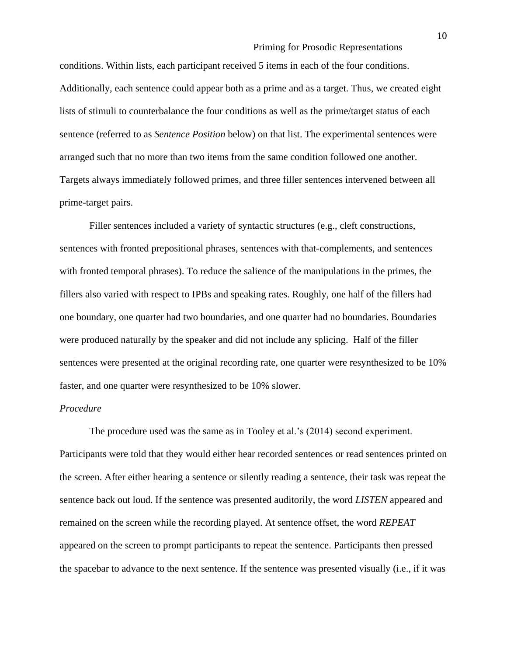conditions. Within lists, each participant received 5 items in each of the four conditions. Additionally, each sentence could appear both as a prime and as a target. Thus, we created eight lists of stimuli to counterbalance the four conditions as well as the prime/target status of each sentence (referred to as *Sentence Position* below) on that list. The experimental sentences were arranged such that no more than two items from the same condition followed one another. Targets always immediately followed primes, and three filler sentences intervened between all prime-target pairs.

Filler sentences included a variety of syntactic structures (e.g., cleft constructions, sentences with fronted prepositional phrases, sentences with that-complements, and sentences with fronted temporal phrases). To reduce the salience of the manipulations in the primes, the fillers also varied with respect to IPBs and speaking rates. Roughly, one half of the fillers had one boundary, one quarter had two boundaries, and one quarter had no boundaries. Boundaries were produced naturally by the speaker and did not include any splicing. Half of the filler sentences were presented at the original recording rate, one quarter were resynthesized to be 10% faster, and one quarter were resynthesized to be 10% slower.

#### *Procedure*

The procedure used was the same as in Tooley et al.'s (2014) second experiment. Participants were told that they would either hear recorded sentences or read sentences printed on the screen. After either hearing a sentence or silently reading a sentence, their task was repeat the sentence back out loud. If the sentence was presented auditorily, the word *LISTEN* appeared and remained on the screen while the recording played. At sentence offset, the word *REPEAT* appeared on the screen to prompt participants to repeat the sentence. Participants then pressed the spacebar to advance to the next sentence. If the sentence was presented visually (i.e., if it was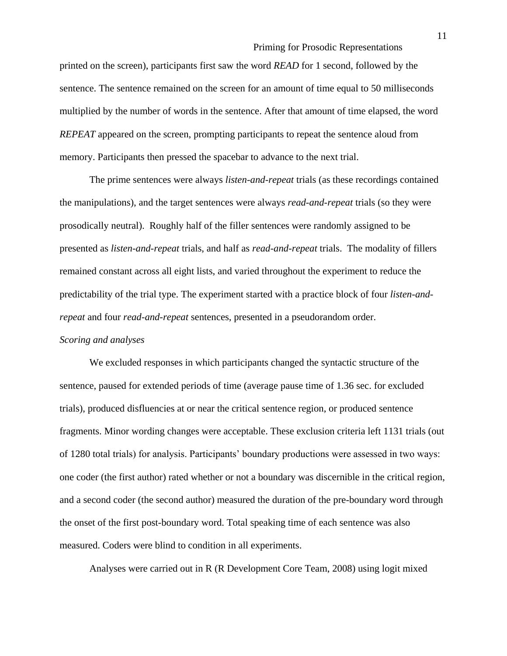printed on the screen), participants first saw the word *READ* for 1 second, followed by the sentence. The sentence remained on the screen for an amount of time equal to 50 milliseconds multiplied by the number of words in the sentence. After that amount of time elapsed, the word *REPEAT* appeared on the screen, prompting participants to repeat the sentence aloud from memory. Participants then pressed the spacebar to advance to the next trial.

The prime sentences were always *listen-and-repeat* trials (as these recordings contained the manipulations), and the target sentences were always *read-and-repeat* trials (so they were prosodically neutral). Roughly half of the filler sentences were randomly assigned to be presented as *listen-and-repeat* trials, and half as *read-and-repeat* trials. The modality of fillers remained constant across all eight lists, and varied throughout the experiment to reduce the predictability of the trial type. The experiment started with a practice block of four *listen-andrepeat* and four *read-and-repeat* sentences, presented in a pseudorandom order.

#### *Scoring and analyses*

We excluded responses in which participants changed the syntactic structure of the sentence, paused for extended periods of time (average pause time of 1.36 sec. for excluded trials), produced disfluencies at or near the critical sentence region, or produced sentence fragments. Minor wording changes were acceptable. These exclusion criteria left 1131 trials (out of 1280 total trials) for analysis. Participants' boundary productions were assessed in two ways: one coder (the first author) rated whether or not a boundary was discernible in the critical region, and a second coder (the second author) measured the duration of the pre-boundary word through the onset of the first post-boundary word. Total speaking time of each sentence was also measured. Coders were blind to condition in all experiments.

Analyses were carried out in R (R Development Core Team, 2008) using logit mixed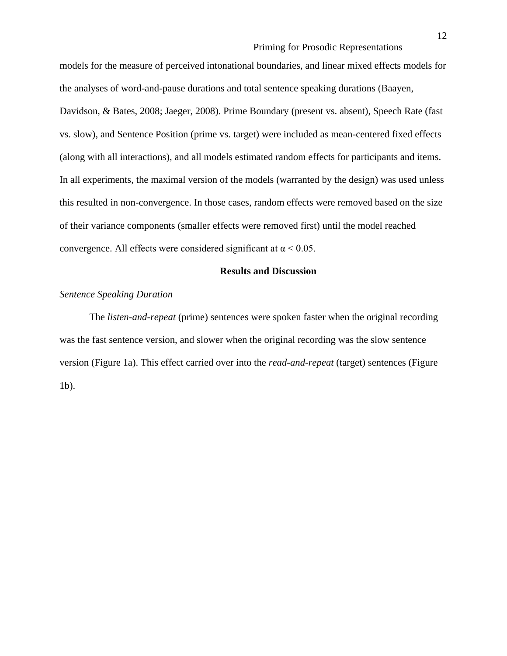models for the measure of perceived intonational boundaries, and linear mixed effects models for the analyses of word-and-pause durations and total sentence speaking durations (Baayen, Davidson, & Bates, 2008; Jaeger, 2008). Prime Boundary (present vs. absent), Speech Rate (fast vs. slow), and Sentence Position (prime vs. target) were included as mean-centered fixed effects (along with all interactions), and all models estimated random effects for participants and items. In all experiments, the maximal version of the models (warranted by the design) was used unless this resulted in non-convergence. In those cases, random effects were removed based on the size of their variance components (smaller effects were removed first) until the model reached convergence. All effects were considered significant at  $\alpha$  < 0.05.

#### **Results and Discussion**

#### *Sentence Speaking Duration*

The *listen-and-repeat* (prime) sentences were spoken faster when the original recording was the fast sentence version, and slower when the original recording was the slow sentence version (Figure 1a). This effect carried over into the *read-and-repeat* (target) sentences (Figure 1b).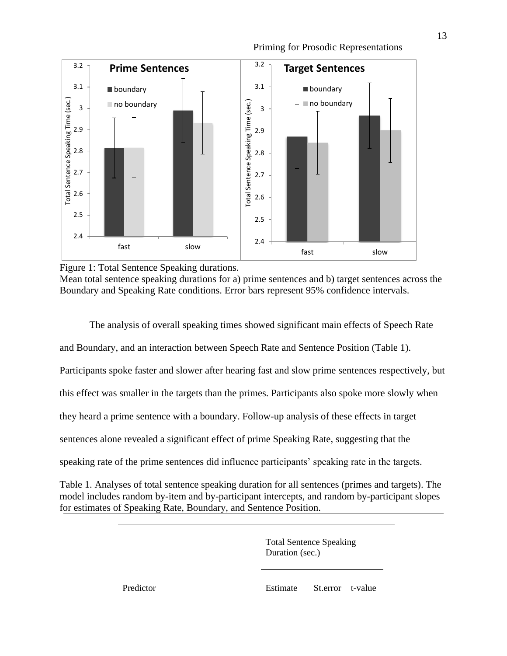

Priming for Prosodic Representations

Mean total sentence speaking durations for a) prime sentences and b) target sentences across the Boundary and Speaking Rate conditions. Error bars represent 95% confidence intervals.

The analysis of overall speaking times showed significant main effects of Speech Rate

and Boundary, and an interaction between Speech Rate and Sentence Position (Table 1).

Participants spoke faster and slower after hearing fast and slow prime sentences respectively, but

this effect was smaller in the targets than the primes. Participants also spoke more slowly when

they heard a prime sentence with a boundary. Follow-up analysis of these effects in target

sentences alone revealed a significant effect of prime Speaking Rate, suggesting that the

speaking rate of the prime sentences did influence participants' speaking rate in the targets.

Table 1. Analyses of total sentence speaking duration for all sentences (primes and targets). The model includes random by-item and by-participant intercepts, and random by-participant slopes for estimates of Speaking Rate, Boundary, and Sentence Position.

> Total Sentence Speaking Duration (sec.)

Predictor Estimate St.error t-value

Figure 1: Total Sentence Speaking durations.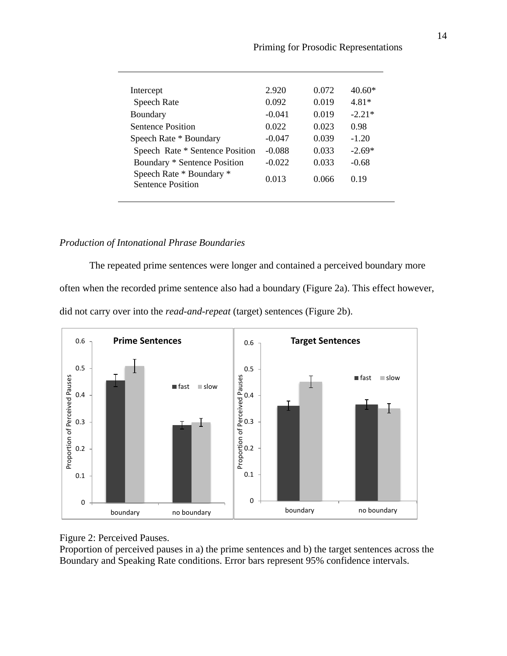| Intercept                                            | 2.920    | 0.072 | $40.60*$ |
|------------------------------------------------------|----------|-------|----------|
| <b>Speech Rate</b>                                   | 0.092    | 0.019 | 481*     |
| Boundary                                             | $-0.041$ | 0.019 | $-2.21*$ |
| <b>Sentence Position</b>                             | 0.022    | 0.023 | 0.98     |
| Speech Rate * Boundary                               | $-0.047$ | 0.039 | $-1.20$  |
| Speech Rate * Sentence Position                      | $-0.088$ | 0.033 | $-2.69*$ |
| Boundary * Sentence Position                         | $-0.022$ | 0.033 | $-0.68$  |
| Speech Rate * Boundary *<br><b>Sentence Position</b> | 0.013    | 0.066 | 0.19     |
|                                                      |          |       |          |

# *Production of Intonational Phrase Boundaries*

The repeated prime sentences were longer and contained a perceived boundary more often when the recorded prime sentence also had a boundary (Figure 2a). This effect however, did not carry over into the *read-and-repeat* (target) sentences (Figure 2b).



Figure 2: Perceived Pauses.

Proportion of perceived pauses in a) the prime sentences and b) the target sentences across the Boundary and Speaking Rate conditions. Error bars represent 95% confidence intervals.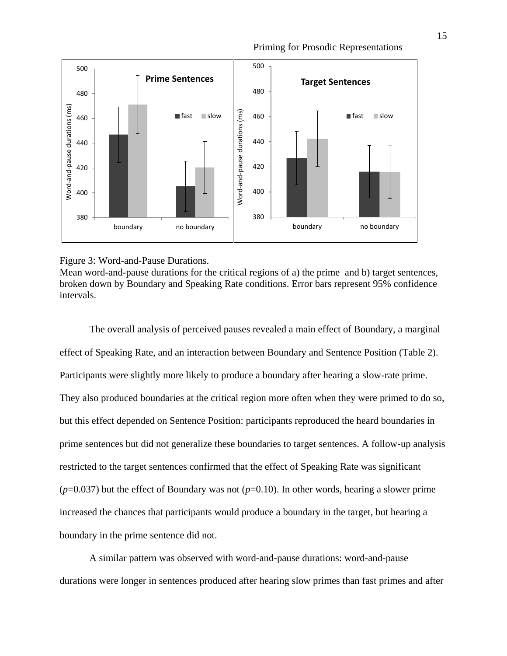

#### Figure 3: Word-and-Pause Durations.

Mean word-and-pause durations for the critical regions of a) the prime and b) target sentences, broken down by Boundary and Speaking Rate conditions. Error bars represent 95% confidence intervals.

The overall analysis of perceived pauses revealed a main effect of Boundary, a marginal effect of Speaking Rate, and an interaction between Boundary and Sentence Position (Table 2). Participants were slightly more likely to produce a boundary after hearing a slow-rate prime. They also produced boundaries at the critical region more often when they were primed to do so, but this effect depended on Sentence Position: participants reproduced the heard boundaries in prime sentences but did not generalize these boundaries to target sentences. A follow-up analysis restricted to the target sentences confirmed that the effect of Speaking Rate was significant  $(p=0.037)$  but the effect of Boundary was not  $(p=0.10)$ . In other words, hearing a slower prime increased the chances that participants would produce a boundary in the target, but hearing a boundary in the prime sentence did not.

A similar pattern was observed with word-and-pause durations: word-and-pause durations were longer in sentences produced after hearing slow primes than fast primes and after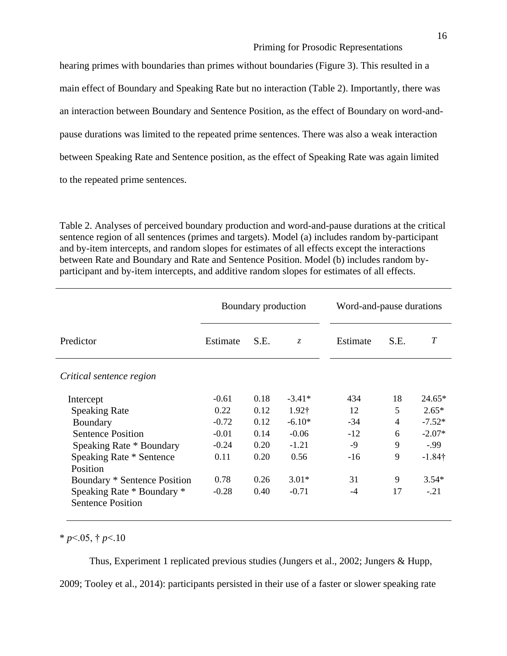hearing primes with boundaries than primes without boundaries (Figure 3). This resulted in a main effect of Boundary and Speaking Rate but no interaction (Table 2). Importantly, there was an interaction between Boundary and Sentence Position, as the effect of Boundary on word-andpause durations was limited to the repeated prime sentences. There was also a weak interaction between Speaking Rate and Sentence position, as the effect of Speaking Rate was again limited to the repeated prime sentences.

Table 2. Analyses of perceived boundary production and word-and-pause durations at the critical sentence region of all sentences (primes and targets). Model (a) includes random by-participant and by-item intercepts, and random slopes for estimates of all effects except the interactions between Rate and Boundary and Rate and Sentence Position. Model (b) includes random byparticipant and by-item intercepts, and additive random slopes for estimates of all effects.

|                                                        | Boundary production |      |                   | Word-and-pause durations |      |           |  |
|--------------------------------------------------------|---------------------|------|-------------------|--------------------------|------|-----------|--|
| Predictor                                              | Estimate            | S.E. | $Z_{\rm c}$       | Estimate                 | S.E. | T         |  |
| Critical sentence region                               |                     |      |                   |                          |      |           |  |
| Intercept                                              | $-0.61$             | 0.18 | $-3.41*$          | 434                      | 18   | $24.65*$  |  |
| <b>Speaking Rate</b>                                   | 0.22                | 0.12 | 1.92 <sup>†</sup> | 12                       | 5    | $2.65*$   |  |
| Boundary                                               | $-0.72$             | 0.12 | $-6.10*$          | $-34$                    | 4    | $-7.52*$  |  |
| <b>Sentence Position</b>                               | $-0.01$             | 0.14 | $-0.06$           | $-12$                    | 6    | $-2.07*$  |  |
| Speaking Rate * Boundary                               | $-0.24$             | 0.20 | $-1.21$           | -9                       | 9    | $-0.99$   |  |
| Speaking Rate * Sentence<br>Position                   | 0.11                | 0.20 | 0.56              | $-16$                    | 9    | $-1.84$ † |  |
| Boundary * Sentence Position                           | 0.78                | 0.26 | $3.01*$           | 31                       | 9    | $3.54*$   |  |
| Speaking Rate * Boundary *<br><b>Sentence Position</b> | $-0.28$             | 0.40 | $-0.71$           | $-4$                     | 17   | $-.21$    |  |

 $*$  *p* < 05, † *p* < 10

Thus, Experiment 1 replicated previous studies (Jungers et al., 2002; Jungers & Hupp,

2009; Tooley et al., 2014): participants persisted in their use of a faster or slower speaking rate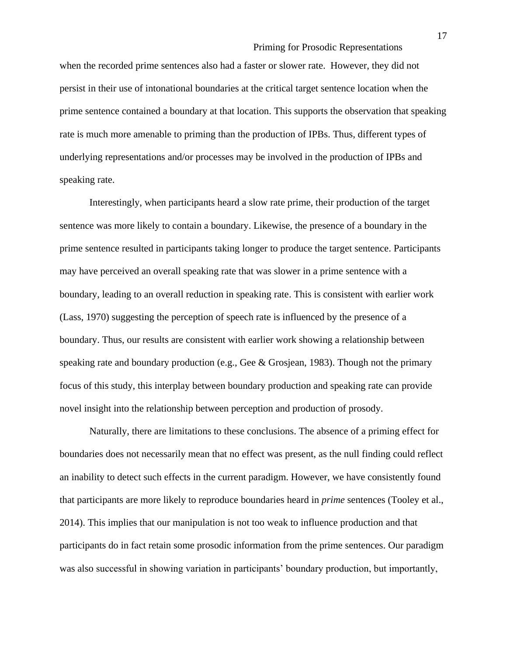when the recorded prime sentences also had a faster or slower rate. However, they did not persist in their use of intonational boundaries at the critical target sentence location when the prime sentence contained a boundary at that location. This supports the observation that speaking rate is much more amenable to priming than the production of IPBs. Thus, different types of underlying representations and/or processes may be involved in the production of IPBs and speaking rate.

Interestingly, when participants heard a slow rate prime, their production of the target sentence was more likely to contain a boundary. Likewise, the presence of a boundary in the prime sentence resulted in participants taking longer to produce the target sentence. Participants may have perceived an overall speaking rate that was slower in a prime sentence with a boundary, leading to an overall reduction in speaking rate. This is consistent with earlier work (Lass, 1970) suggesting the perception of speech rate is influenced by the presence of a boundary. Thus, our results are consistent with earlier work showing a relationship between speaking rate and boundary production (e.g., Gee & Grosjean, 1983). Though not the primary focus of this study, this interplay between boundary production and speaking rate can provide novel insight into the relationship between perception and production of prosody.

Naturally, there are limitations to these conclusions. The absence of a priming effect for boundaries does not necessarily mean that no effect was present, as the null finding could reflect an inability to detect such effects in the current paradigm. However, we have consistently found that participants are more likely to reproduce boundaries heard in *prime* sentences (Tooley et al., 2014). This implies that our manipulation is not too weak to influence production and that participants do in fact retain some prosodic information from the prime sentences. Our paradigm was also successful in showing variation in participants' boundary production, but importantly,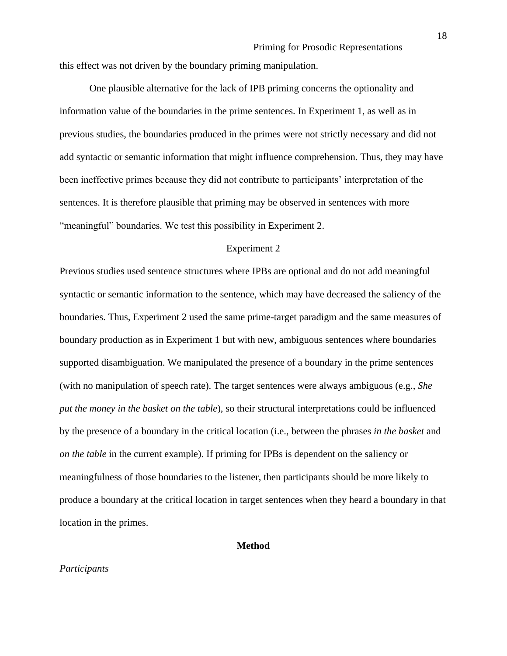this effect was not driven by the boundary priming manipulation.

One plausible alternative for the lack of IPB priming concerns the optionality and information value of the boundaries in the prime sentences. In Experiment 1, as well as in previous studies, the boundaries produced in the primes were not strictly necessary and did not add syntactic or semantic information that might influence comprehension. Thus, they may have been ineffective primes because they did not contribute to participants' interpretation of the sentences. It is therefore plausible that priming may be observed in sentences with more "meaningful" boundaries. We test this possibility in Experiment 2.

#### Experiment 2

Previous studies used sentence structures where IPBs are optional and do not add meaningful syntactic or semantic information to the sentence, which may have decreased the saliency of the boundaries. Thus, Experiment 2 used the same prime-target paradigm and the same measures of boundary production as in Experiment 1 but with new, ambiguous sentences where boundaries supported disambiguation. We manipulated the presence of a boundary in the prime sentences (with no manipulation of speech rate). The target sentences were always ambiguous (e.g., *She put the money in the basket on the table*), so their structural interpretations could be influenced by the presence of a boundary in the critical location (i.e., between the phrases *in the basket* and *on the table* in the current example). If priming for IPBs is dependent on the saliency or meaningfulness of those boundaries to the listener, then participants should be more likely to produce a boundary at the critical location in target sentences when they heard a boundary in that location in the primes.

#### **Method**

#### *Participants*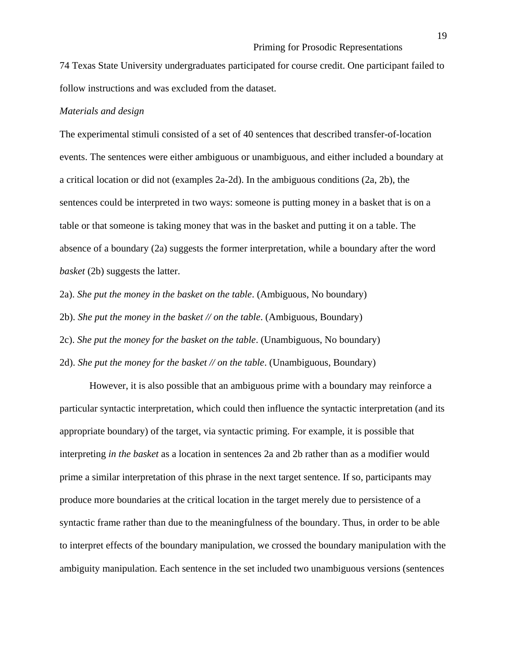74 Texas State University undergraduates participated for course credit. One participant failed to follow instructions and was excluded from the dataset.

#### *Materials and design*

The experimental stimuli consisted of a set of 40 sentences that described transfer-of-location events. The sentences were either ambiguous or unambiguous, and either included a boundary at a critical location or did not (examples 2a-2d). In the ambiguous conditions (2a, 2b), the sentences could be interpreted in two ways: someone is putting money in a basket that is on a table or that someone is taking money that was in the basket and putting it on a table. The absence of a boundary (2a) suggests the former interpretation, while a boundary after the word *basket* (2b) suggests the latter.

2a). *She put the money in the basket on the table*. (Ambiguous, No boundary)

2b). *She put the money in the basket // on the table*. (Ambiguous, Boundary)

2c). *She put the money for the basket on the table*. (Unambiguous, No boundary)

2d). *She put the money for the basket // on the table*. (Unambiguous, Boundary)

However, it is also possible that an ambiguous prime with a boundary may reinforce a particular syntactic interpretation, which could then influence the syntactic interpretation (and its appropriate boundary) of the target, via syntactic priming. For example, it is possible that interpreting *in the basket* as a location in sentences 2a and 2b rather than as a modifier would prime a similar interpretation of this phrase in the next target sentence. If so, participants may produce more boundaries at the critical location in the target merely due to persistence of a syntactic frame rather than due to the meaningfulness of the boundary. Thus, in order to be able to interpret effects of the boundary manipulation, we crossed the boundary manipulation with the ambiguity manipulation. Each sentence in the set included two unambiguous versions (sentences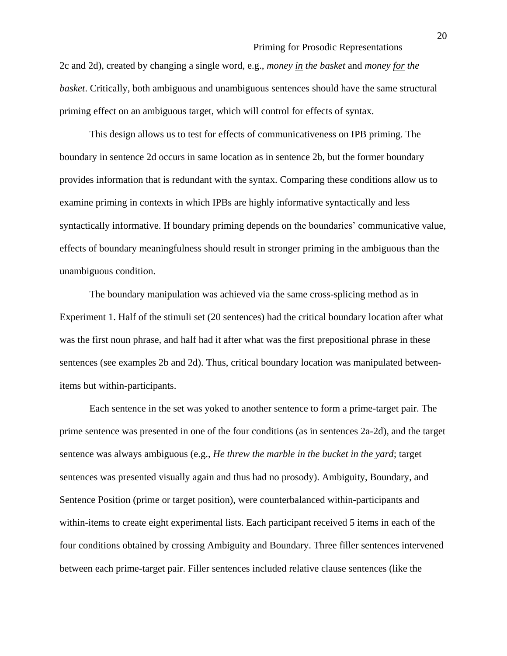2c and 2d), created by changing a single word, e.g., *money in the basket* and *money for the basket*. Critically, both ambiguous and unambiguous sentences should have the same structural priming effect on an ambiguous target, which will control for effects of syntax.

This design allows us to test for effects of communicativeness on IPB priming. The boundary in sentence 2d occurs in same location as in sentence 2b, but the former boundary provides information that is redundant with the syntax. Comparing these conditions allow us to examine priming in contexts in which IPBs are highly informative syntactically and less syntactically informative. If boundary priming depends on the boundaries' communicative value, effects of boundary meaningfulness should result in stronger priming in the ambiguous than the unambiguous condition.

The boundary manipulation was achieved via the same cross-splicing method as in Experiment 1. Half of the stimuli set (20 sentences) had the critical boundary location after what was the first noun phrase, and half had it after what was the first prepositional phrase in these sentences (see examples 2b and 2d). Thus, critical boundary location was manipulated betweenitems but within-participants.

Each sentence in the set was yoked to another sentence to form a prime-target pair. The prime sentence was presented in one of the four conditions (as in sentences 2a-2d), and the target sentence was always ambiguous (e.g., *He threw the marble in the bucket in the yard*; target sentences was presented visually again and thus had no prosody). Ambiguity, Boundary, and Sentence Position (prime or target position), were counterbalanced within-participants and within-items to create eight experimental lists. Each participant received 5 items in each of the four conditions obtained by crossing Ambiguity and Boundary. Three filler sentences intervened between each prime-target pair. Filler sentences included relative clause sentences (like the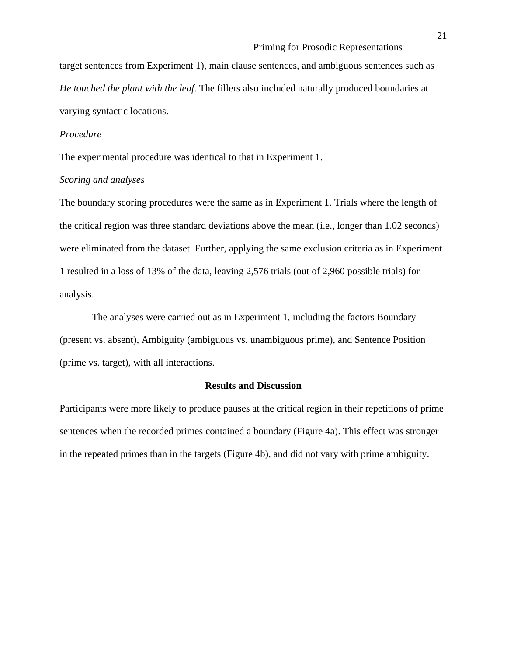target sentences from Experiment 1), main clause sentences, and ambiguous sentences such as *He touched the plant with the leaf*. The fillers also included naturally produced boundaries at varying syntactic locations.

#### *Procedure*

The experimental procedure was identical to that in Experiment 1.

#### *Scoring and analyses*

The boundary scoring procedures were the same as in Experiment 1. Trials where the length of the critical region was three standard deviations above the mean (i.e., longer than 1.02 seconds) were eliminated from the dataset. Further, applying the same exclusion criteria as in Experiment 1 resulted in a loss of 13% of the data, leaving 2,576 trials (out of 2,960 possible trials) for analysis.

The analyses were carried out as in Experiment 1, including the factors Boundary (present vs. absent), Ambiguity (ambiguous vs. unambiguous prime), and Sentence Position (prime vs. target), with all interactions.

#### **Results and Discussion**

Participants were more likely to produce pauses at the critical region in their repetitions of prime sentences when the recorded primes contained a boundary (Figure 4a). This effect was stronger in the repeated primes than in the targets (Figure 4b), and did not vary with prime ambiguity.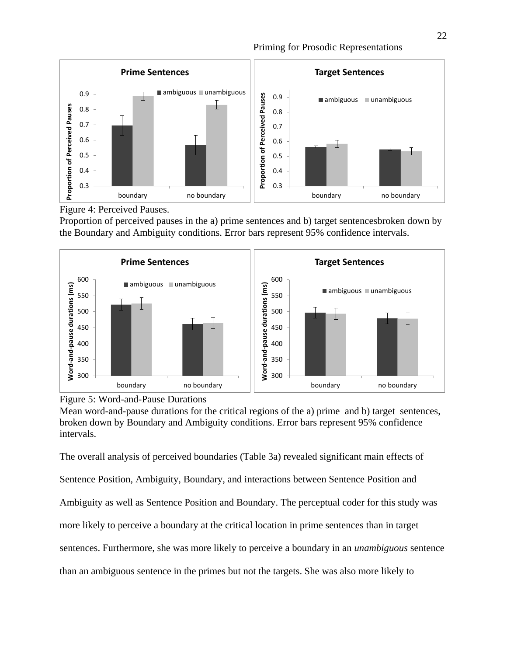

Figure 4: Perceived Pauses.

Proportion of perceived pauses in the a) prime sentences and b) target sentencesbroken down by the Boundary and Ambiguity conditions. Error bars represent 95% confidence intervals.





Mean word-and-pause durations for the critical regions of the a) prime and b) target sentences, broken down by Boundary and Ambiguity conditions. Error bars represent 95% confidence intervals.

The overall analysis of perceived boundaries (Table 3a) revealed significant main effects of Sentence Position, Ambiguity, Boundary, and interactions between Sentence Position and Ambiguity as well as Sentence Position and Boundary. The perceptual coder for this study was more likely to perceive a boundary at the critical location in prime sentences than in target sentences. Furthermore, she was more likely to perceive a boundary in an *unambiguous* sentence than an ambiguous sentence in the primes but not the targets. She was also more likely to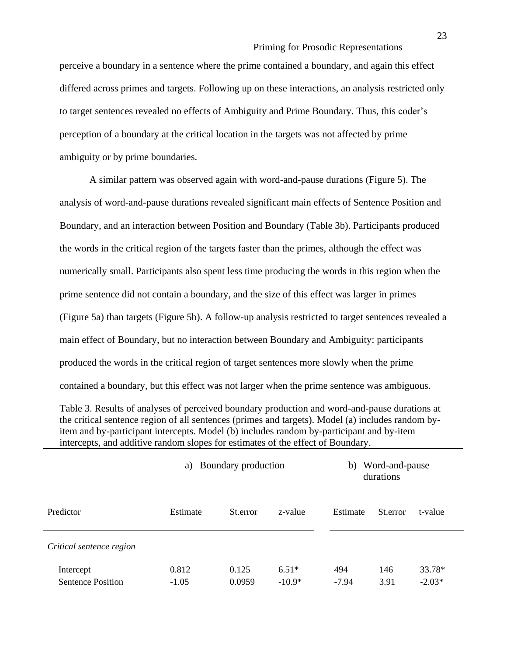perceive a boundary in a sentence where the prime contained a boundary, and again this effect differed across primes and targets. Following up on these interactions, an analysis restricted only to target sentences revealed no effects of Ambiguity and Prime Boundary. Thus, this coder's perception of a boundary at the critical location in the targets was not affected by prime ambiguity or by prime boundaries.

A similar pattern was observed again with word-and-pause durations (Figure 5). The analysis of word-and-pause durations revealed significant main effects of Sentence Position and Boundary, and an interaction between Position and Boundary (Table 3b). Participants produced the words in the critical region of the targets faster than the primes, although the effect was numerically small. Participants also spent less time producing the words in this region when the prime sentence did not contain a boundary, and the size of this effect was larger in primes (Figure 5a) than targets (Figure 5b). A follow-up analysis restricted to target sentences revealed a main effect of Boundary, but no interaction between Boundary and Ambiguity: participants produced the words in the critical region of target sentences more slowly when the prime contained a boundary, but this effect was not larger when the prime sentence was ambiguous.

Table 3. Results of analyses of perceived boundary production and word-and-pause durations at the critical sentence region of all sentences (primes and targets). Model (a) includes random byitem and by-participant intercepts. Model (b) includes random by-participant and by-item intercepts, and additive random slopes for estimates of the effect of Boundary.

|                                       | a) Boundary production |                 |                     | Word-and-pause<br>b)<br>durations |             |                    |  |
|---------------------------------------|------------------------|-----------------|---------------------|-----------------------------------|-------------|--------------------|--|
| Predictor                             | Estimate               | St.error        | z-value             | Estimate                          | St.error    | t-value            |  |
| Critical sentence region              |                        |                 |                     |                                   |             |                    |  |
| Intercept<br><b>Sentence Position</b> | 0.812<br>$-1.05$       | 0.125<br>0.0959 | $6.51*$<br>$-10.9*$ | 494<br>$-7.94$                    | 146<br>3.91 | 33.78*<br>$-2.03*$ |  |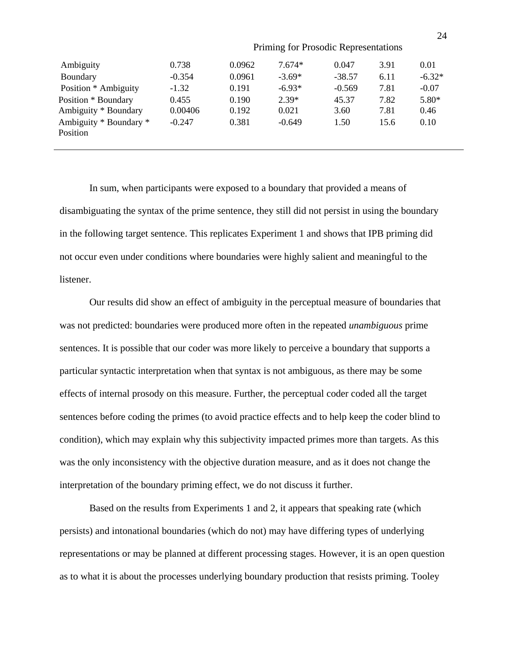| Ambiguity              | 0.738    | 0.0962 | $7.674*$ | 0.047    | 3.91 | 0.01     |
|------------------------|----------|--------|----------|----------|------|----------|
| Boundary               | $-0.354$ | 0.0961 | $-3.69*$ | $-38.57$ | 6.11 | $-6.32*$ |
| Position * Ambiguity   | $-1.32$  | 0.191  | $-6.93*$ | $-0.569$ | 7.81 | $-0.07$  |
| Position * Boundary    | 0.455    | 0.190  | $2.39*$  | 45.37    | 7.82 | 5.80*    |
| Ambiguity * Boundary   | 0.00406  | 0.192  | 0.021    | 3.60     | 7.81 | 0.46     |
| Ambiguity * Boundary * | $-0.247$ | 0.381  | $-0.649$ | 1.50     | 15.6 | 0.10     |
| Position               |          |        |          |          |      |          |
|                        |          |        |          |          |      |          |

In sum, when participants were exposed to a boundary that provided a means of disambiguating the syntax of the prime sentence, they still did not persist in using the boundary in the following target sentence. This replicates Experiment 1 and shows that IPB priming did not occur even under conditions where boundaries were highly salient and meaningful to the listener.

Our results did show an effect of ambiguity in the perceptual measure of boundaries that was not predicted: boundaries were produced more often in the repeated *unambiguous* prime sentences. It is possible that our coder was more likely to perceive a boundary that supports a particular syntactic interpretation when that syntax is not ambiguous, as there may be some effects of internal prosody on this measure. Further, the perceptual coder coded all the target sentences before coding the primes (to avoid practice effects and to help keep the coder blind to condition), which may explain why this subjectivity impacted primes more than targets. As this was the only inconsistency with the objective duration measure, and as it does not change the interpretation of the boundary priming effect, we do not discuss it further.

Based on the results from Experiments 1 and 2, it appears that speaking rate (which persists) and intonational boundaries (which do not) may have differing types of underlying representations or may be planned at different processing stages. However, it is an open question as to what it is about the processes underlying boundary production that resists priming. Tooley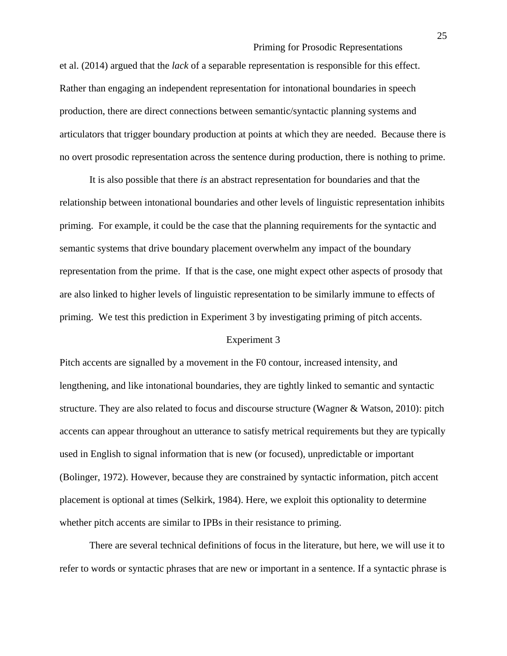et al. (2014) argued that the *lack* of a separable representation is responsible for this effect. Rather than engaging an independent representation for intonational boundaries in speech production, there are direct connections between semantic/syntactic planning systems and articulators that trigger boundary production at points at which they are needed. Because there is no overt prosodic representation across the sentence during production, there is nothing to prime.

It is also possible that there *is* an abstract representation for boundaries and that the relationship between intonational boundaries and other levels of linguistic representation inhibits priming. For example, it could be the case that the planning requirements for the syntactic and semantic systems that drive boundary placement overwhelm any impact of the boundary representation from the prime. If that is the case, one might expect other aspects of prosody that are also linked to higher levels of linguistic representation to be similarly immune to effects of priming. We test this prediction in Experiment 3 by investigating priming of pitch accents.

#### Experiment 3

Pitch accents are signalled by a movement in the F0 contour, increased intensity, and lengthening, and like intonational boundaries, they are tightly linked to semantic and syntactic structure. They are also related to focus and discourse structure (Wagner & Watson, 2010): pitch accents can appear throughout an utterance to satisfy metrical requirements but they are typically used in English to signal information that is new (or focused), unpredictable or important (Bolinger, 1972). However, because they are constrained by syntactic information, pitch accent placement is optional at times (Selkirk, 1984). Here, we exploit this optionality to determine whether pitch accents are similar to IPBs in their resistance to priming.

There are several technical definitions of focus in the literature, but here, we will use it to refer to words or syntactic phrases that are new or important in a sentence. If a syntactic phrase is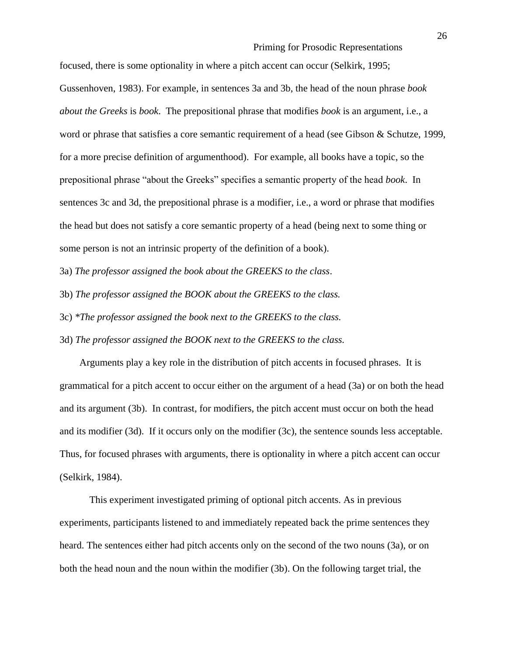focused, there is some optionality in where a pitch accent can occur (Selkirk, 1995; Gussenhoven, 1983). For example, in sentences 3a and 3b, the head of the noun phrase *book about the Greeks* is *book*. The prepositional phrase that modifies *book* is an argument, i.e., a word or phrase that satisfies a core semantic requirement of a head (see Gibson & Schutze, 1999, for a more precise definition of argumenthood). For example, all books have a topic, so the prepositional phrase "about the Greeks" specifies a semantic property of the head *book*. In sentences 3c and 3d, the prepositional phrase is a modifier, i.e., a word or phrase that modifies the head but does not satisfy a core semantic property of a head (being next to some thing or some person is not an intrinsic property of the definition of a book).

3a) *The professor assigned the book about the GREEKS to the class*.

3b) *The professor assigned the BOOK about the GREEKS to the class.*

3c) *\*The professor assigned the book next to the GREEKS to the class.*

3d) *The professor assigned the BOOK next to the GREEKS to the class.*

 Arguments play a key role in the distribution of pitch accents in focused phrases. It is grammatical for a pitch accent to occur either on the argument of a head (3a) or on both the head and its argument (3b). In contrast, for modifiers, the pitch accent must occur on both the head and its modifier (3d). If it occurs only on the modifier (3c), the sentence sounds less acceptable. Thus, for focused phrases with arguments, there is optionality in where a pitch accent can occur (Selkirk, 1984).

This experiment investigated priming of optional pitch accents. As in previous experiments, participants listened to and immediately repeated back the prime sentences they heard. The sentences either had pitch accents only on the second of the two nouns (3a), or on both the head noun and the noun within the modifier (3b). On the following target trial, the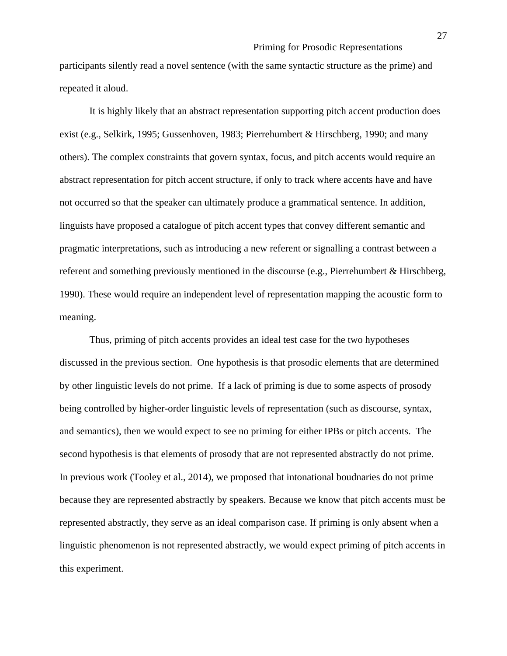participants silently read a novel sentence (with the same syntactic structure as the prime) and repeated it aloud.

It is highly likely that an abstract representation supporting pitch accent production does exist (e.g., Selkirk, 1995; Gussenhoven, 1983; Pierrehumbert & Hirschberg, 1990; and many others). The complex constraints that govern syntax, focus, and pitch accents would require an abstract representation for pitch accent structure, if only to track where accents have and have not occurred so that the speaker can ultimately produce a grammatical sentence. In addition, linguists have proposed a catalogue of pitch accent types that convey different semantic and pragmatic interpretations, such as introducing a new referent or signalling a contrast between a referent and something previously mentioned in the discourse (e.g., Pierrehumbert & Hirschberg, 1990). These would require an independent level of representation mapping the acoustic form to meaning.

Thus, priming of pitch accents provides an ideal test case for the two hypotheses discussed in the previous section. One hypothesis is that prosodic elements that are determined by other linguistic levels do not prime. If a lack of priming is due to some aspects of prosody being controlled by higher-order linguistic levels of representation (such as discourse, syntax, and semantics), then we would expect to see no priming for either IPBs or pitch accents. The second hypothesis is that elements of prosody that are not represented abstractly do not prime. In previous work (Tooley et al., 2014), we proposed that intonational boudnaries do not prime because they are represented abstractly by speakers. Because we know that pitch accents must be represented abstractly, they serve as an ideal comparison case. If priming is only absent when a linguistic phenomenon is not represented abstractly, we would expect priming of pitch accents in this experiment.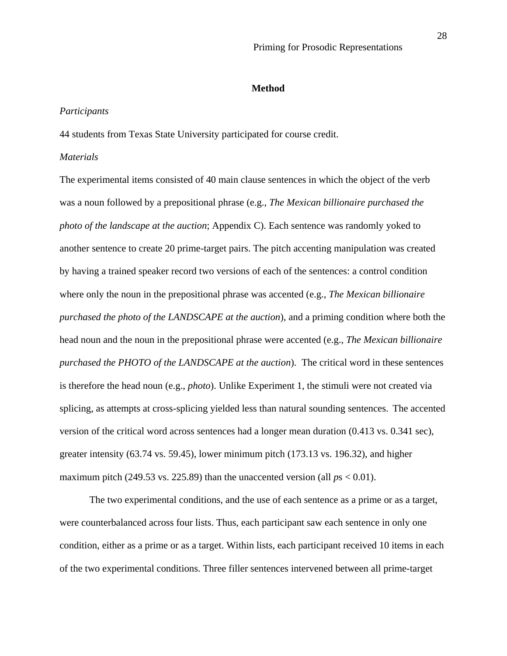#### **Method**

#### *Participants*

44 students from Texas State University participated for course credit.

#### *Materials*

The experimental items consisted of 40 main clause sentences in which the object of the verb was a noun followed by a prepositional phrase (e.g., *The Mexican billionaire purchased the photo of the landscape at the auction*; Appendix C). Each sentence was randomly yoked to another sentence to create 20 prime-target pairs. The pitch accenting manipulation was created by having a trained speaker record two versions of each of the sentences: a control condition where only the noun in the prepositional phrase was accented (e.g., *The Mexican billionaire purchased the photo of the LANDSCAPE at the auction*), and a priming condition where both the head noun and the noun in the prepositional phrase were accented (e.g., *The Mexican billionaire purchased the PHOTO of the LANDSCAPE at the auction*). The critical word in these sentences is therefore the head noun (e.g., *photo*). Unlike Experiment 1, the stimuli were not created via splicing, as attempts at cross-splicing yielded less than natural sounding sentences. The accented version of the critical word across sentences had a longer mean duration (0.413 vs. 0.341 sec), greater intensity (63.74 vs. 59.45), lower minimum pitch (173.13 vs. 196.32), and higher maximum pitch (249.53 vs. 225.89) than the unaccented version (all  $ps < 0.01$ ).

The two experimental conditions, and the use of each sentence as a prime or as a target, were counterbalanced across four lists. Thus, each participant saw each sentence in only one condition, either as a prime or as a target. Within lists, each participant received 10 items in each of the two experimental conditions. Three filler sentences intervened between all prime-target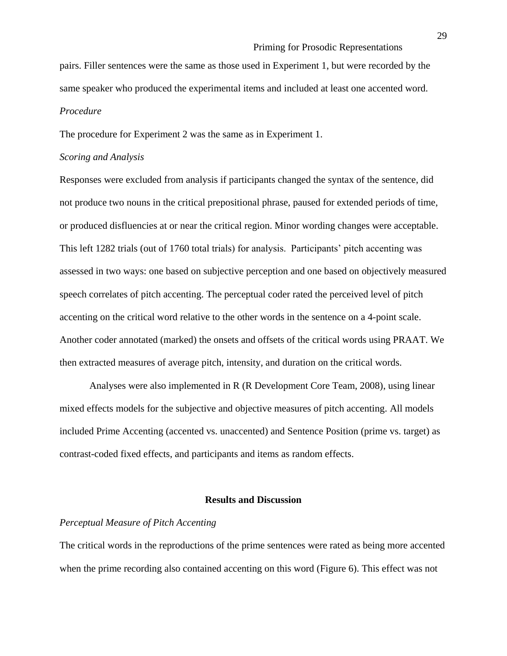pairs. Filler sentences were the same as those used in Experiment 1, but were recorded by the same speaker who produced the experimental items and included at least one accented word. *Procedure*

The procedure for Experiment 2 was the same as in Experiment 1.

#### *Scoring and Analysis*

Responses were excluded from analysis if participants changed the syntax of the sentence, did not produce two nouns in the critical prepositional phrase, paused for extended periods of time, or produced disfluencies at or near the critical region. Minor wording changes were acceptable. This left 1282 trials (out of 1760 total trials) for analysis. Participants' pitch accenting was assessed in two ways: one based on subjective perception and one based on objectively measured speech correlates of pitch accenting. The perceptual coder rated the perceived level of pitch accenting on the critical word relative to the other words in the sentence on a 4-point scale. Another coder annotated (marked) the onsets and offsets of the critical words using PRAAT. We then extracted measures of average pitch, intensity, and duration on the critical words.

Analyses were also implemented in R (R Development Core Team, 2008), using linear mixed effects models for the subjective and objective measures of pitch accenting. All models included Prime Accenting (accented vs. unaccented) and Sentence Position (prime vs. target) as contrast-coded fixed effects, and participants and items as random effects.

#### **Results and Discussion**

# *Perceptual Measure of Pitch Accenting*

The critical words in the reproductions of the prime sentences were rated as being more accented when the prime recording also contained accenting on this word (Figure 6). This effect was not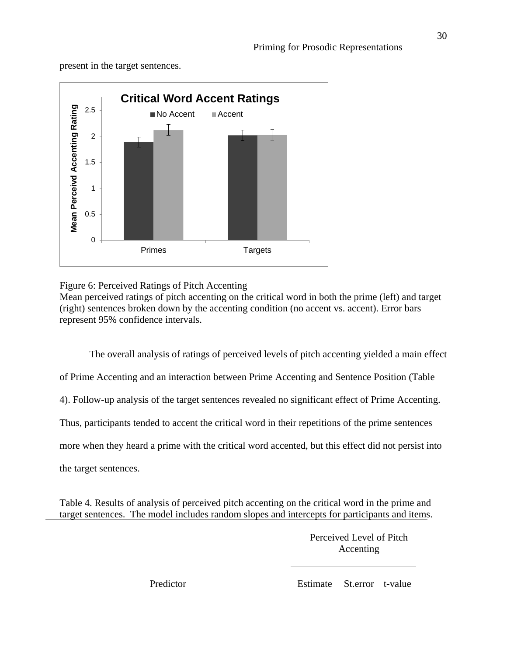present in the target sentences.



# Figure 6: Perceived Ratings of Pitch Accenting

Mean perceived ratings of pitch accenting on the critical word in both the prime (left) and target (right) sentences broken down by the accenting condition (no accent vs. accent). Error bars represent 95% confidence intervals.

The overall analysis of ratings of perceived levels of pitch accenting yielded a main effect of Prime Accenting and an interaction between Prime Accenting and Sentence Position (Table 4). Follow-up analysis of the target sentences revealed no significant effect of Prime Accenting. Thus, participants tended to accent the critical word in their repetitions of the prime sentences more when they heard a prime with the critical word accented, but this effect did not persist into the target sentences.

Table 4. Results of analysis of perceived pitch accenting on the critical word in the prime and target sentences. The model includes random slopes and intercepts for participants and items.

> Perceived Level of Pitch Accenting

Predictor Estimate St.error t-value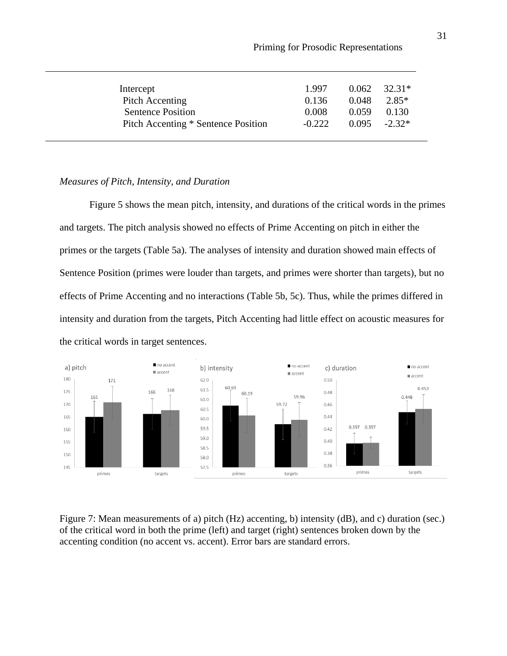| Intercept                           | 1.997    | 0.062 | 32.31*           |  |
|-------------------------------------|----------|-------|------------------|--|
| Pitch Accenting                     | 0.136    | 0.048 | 2.85*            |  |
| <b>Sentence Position</b>            | 0.008    | 0.059 | 0.130            |  |
| Pitch Accenting * Sentence Position | $-0.222$ |       | $0.095 - 2.32^*$ |  |

# *Measures of Pitch, Intensity, and Duration*

Figure 5 shows the mean pitch, intensity, and durations of the critical words in the primes and targets. The pitch analysis showed no effects of Prime Accenting on pitch in either the primes or the targets (Table 5a). The analyses of intensity and duration showed main effects of Sentence Position (primes were louder than targets, and primes were shorter than targets), but no effects of Prime Accenting and no interactions (Table 5b, 5c). Thus, while the primes differed in intensity and duration from the targets, Pitch Accenting had little effect on acoustic measures for the critical words in target sentences.



Figure 7: Mean measurements of a) pitch (Hz) accenting, b) intensity (dB), and c) duration (sec.) of the critical word in both the prime (left) and target (right) sentences broken down by the accenting condition (no accent vs. accent). Error bars are standard errors.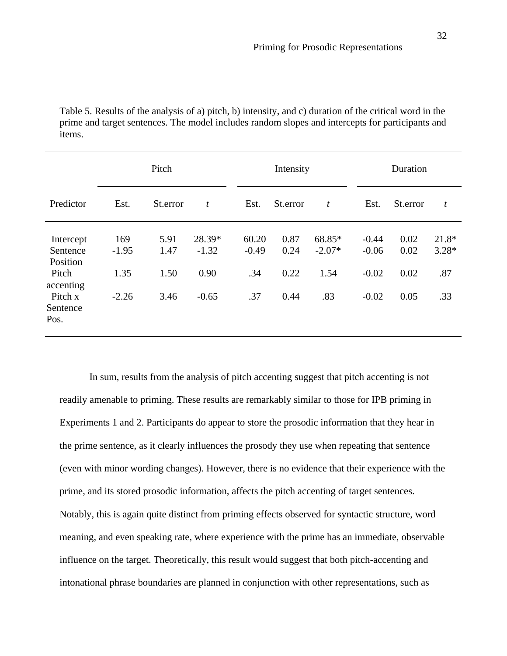Table 5. Results of the analysis of a) pitch, b) intensity, and c) duration of the critical word in the prime and target sentences. The model includes random slopes and intercepts for participants and items.

|                                   |                | Pitch        |                   |                  | Intensity    |                    |                    | Duration     |                    |
|-----------------------------------|----------------|--------------|-------------------|------------------|--------------|--------------------|--------------------|--------------|--------------------|
| Predictor                         | Est.           | St.error     | $\boldsymbol{t}$  | Est.             | St.error     | t                  | Est.               | St.error     | t                  |
| Intercept<br>Sentence<br>Position | 169<br>$-1.95$ | 5.91<br>1.47 | 28.39*<br>$-1.32$ | 60.20<br>$-0.49$ | 0.87<br>0.24 | 68.85*<br>$-2.07*$ | $-0.44$<br>$-0.06$ | 0.02<br>0.02 | $21.8*$<br>$3.28*$ |
| Pitch<br>accenting                | 1.35           | 1.50         | 0.90              | .34              | 0.22         | 1.54               | $-0.02$            | 0.02         | .87                |
| Pitch x<br>Sentence<br>Pos.       | $-2.26$        | 3.46         | $-0.65$           | .37              | 0.44         | .83                | $-0.02$            | 0.05         | .33                |

In sum, results from the analysis of pitch accenting suggest that pitch accenting is not readily amenable to priming. These results are remarkably similar to those for IPB priming in Experiments 1 and 2. Participants do appear to store the prosodic information that they hear in the prime sentence, as it clearly influences the prosody they use when repeating that sentence (even with minor wording changes). However, there is no evidence that their experience with the prime, and its stored prosodic information, affects the pitch accenting of target sentences. Notably, this is again quite distinct from priming effects observed for syntactic structure, word meaning, and even speaking rate, where experience with the prime has an immediate, observable influence on the target. Theoretically, this result would suggest that both pitch-accenting and intonational phrase boundaries are planned in conjunction with other representations, such as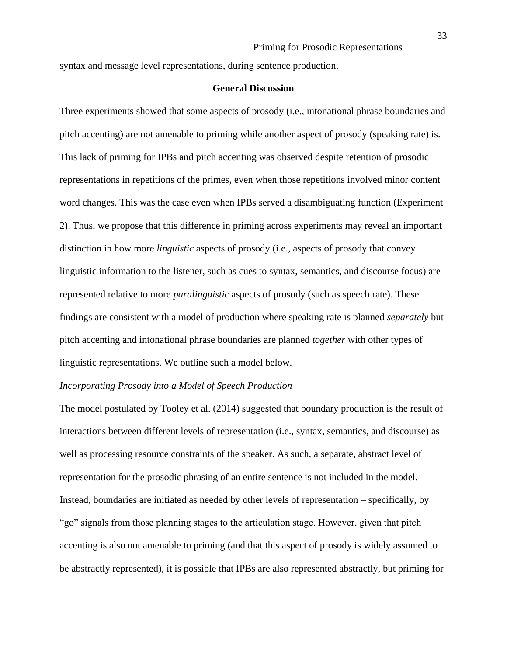syntax and message level representations, during sentence production.

#### **General Discussion**

Three experiments showed that some aspects of prosody (i.e., intonational phrase boundaries and pitch accenting) are not amenable to priming while another aspect of prosody (speaking rate) is. This lack of priming for IPBs and pitch accenting was observed despite retention of prosodic representations in repetitions of the primes, even when those repetitions involved minor content word changes. This was the case even when IPBs served a disambiguating function (Experiment 2). Thus, we propose that this difference in priming across experiments may reveal an important distinction in how more *linguistic* aspects of prosody (i.e., aspects of prosody that convey linguistic information to the listener, such as cues to syntax, semantics, and discourse focus) are represented relative to more *paralinguistic* aspects of prosody (such as speech rate). These findings are consistent with a model of production where speaking rate is planned *separately* but pitch accenting and intonational phrase boundaries are planned *together* with other types of linguistic representations. We outline such a model below.

#### *Incorporating Prosody into a Model of Speech Production*

The model postulated by Tooley et al. (2014) suggested that boundary production is the result of interactions between different levels of representation (i.e., syntax, semantics, and discourse) as well as processing resource constraints of the speaker. As such, a separate, abstract level of representation for the prosodic phrasing of an entire sentence is not included in the model. Instead, boundaries are initiated as needed by other levels of representation – specifically, by "go" signals from those planning stages to the articulation stage. However, given that pitch accenting is also not amenable to priming (and that this aspect of prosody is widely assumed to be abstractly represented), it is possible that IPBs are also represented abstractly, but priming for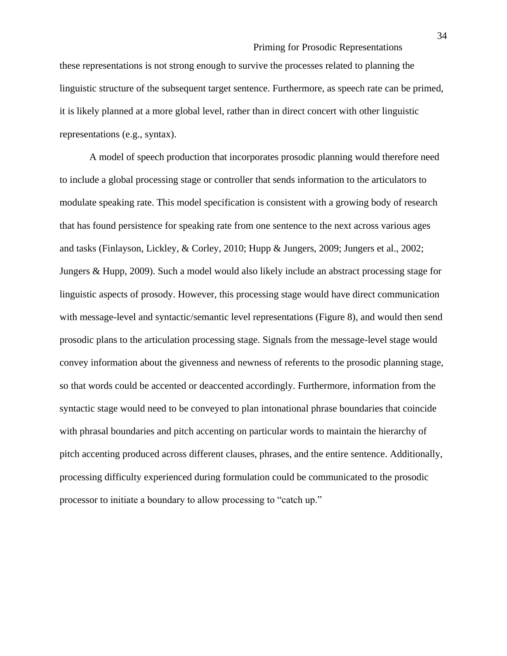these representations is not strong enough to survive the processes related to planning the linguistic structure of the subsequent target sentence. Furthermore, as speech rate can be primed, it is likely planned at a more global level, rather than in direct concert with other linguistic representations (e.g., syntax).

A model of speech production that incorporates prosodic planning would therefore need to include a global processing stage or controller that sends information to the articulators to modulate speaking rate. This model specification is consistent with a growing body of research that has found persistence for speaking rate from one sentence to the next across various ages and tasks (Finlayson, Lickley, & Corley, 2010; Hupp & Jungers, 2009; Jungers et al., 2002; Jungers & Hupp, 2009). Such a model would also likely include an abstract processing stage for linguistic aspects of prosody. However, this processing stage would have direct communication with message-level and syntactic/semantic level representations (Figure 8), and would then send prosodic plans to the articulation processing stage. Signals from the message-level stage would convey information about the givenness and newness of referents to the prosodic planning stage, so that words could be accented or deaccented accordingly. Furthermore, information from the syntactic stage would need to be conveyed to plan intonational phrase boundaries that coincide with phrasal boundaries and pitch accenting on particular words to maintain the hierarchy of pitch accenting produced across different clauses, phrases, and the entire sentence. Additionally, processing difficulty experienced during formulation could be communicated to the prosodic processor to initiate a boundary to allow processing to "catch up."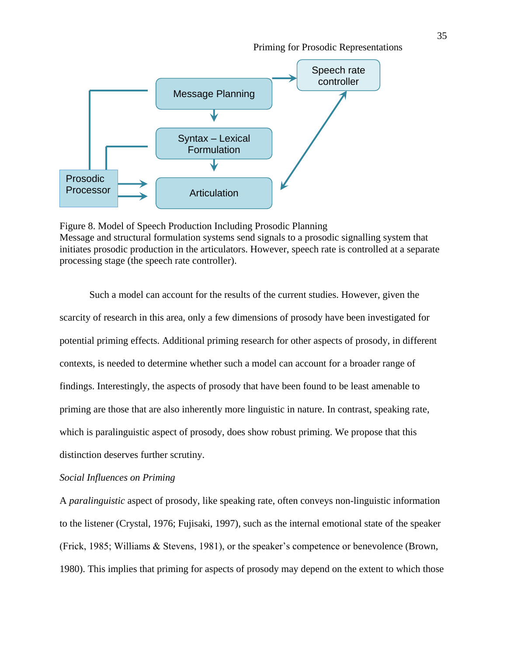

Figure 8. Model of Speech Production Including Prosodic Planning Message and structural formulation systems send signals to a prosodic signalling system that initiates prosodic production in the articulators. However, speech rate is controlled at a separate processing stage (the speech rate controller).

Such a model can account for the results of the current studies. However, given the scarcity of research in this area, only a few dimensions of prosody have been investigated for potential priming effects. Additional priming research for other aspects of prosody, in different contexts, is needed to determine whether such a model can account for a broader range of findings. Interestingly, the aspects of prosody that have been found to be least amenable to priming are those that are also inherently more linguistic in nature. In contrast, speaking rate, which is paralinguistic aspect of prosody, does show robust priming. We propose that this distinction deserves further scrutiny.

# *Social Influences on Priming*

A *paralinguistic* aspect of prosody, like speaking rate, often conveys non-linguistic information to the listener (Crystal, 1976; Fujisaki, 1997), such as the internal emotional state of the speaker (Frick, 1985; Williams & Stevens, 1981), or the speaker's competence or benevolence (Brown, 1980). This implies that priming for aspects of prosody may depend on the extent to which those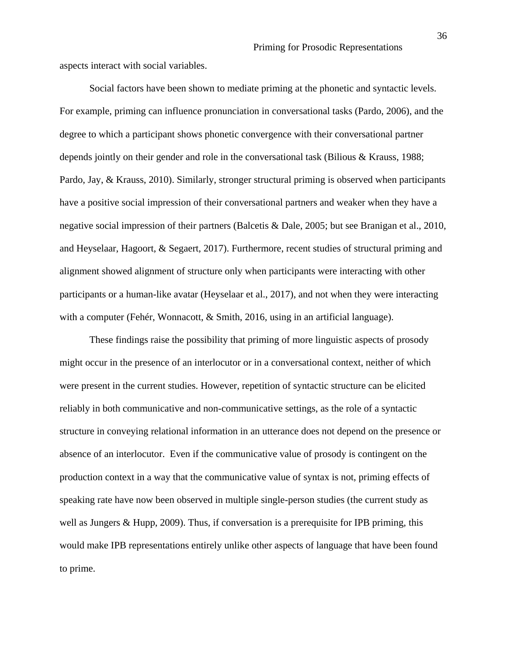aspects interact with social variables.

Social factors have been shown to mediate priming at the phonetic and syntactic levels. For example, priming can influence pronunciation in conversational tasks (Pardo, 2006), and the degree to which a participant shows phonetic convergence with their conversational partner depends jointly on their gender and role in the conversational task (Bilious & Krauss, 1988; Pardo, Jay, & Krauss, 2010). Similarly, stronger structural priming is observed when participants have a positive social impression of their conversational partners and weaker when they have a negative social impression of their partners (Balcetis & Dale, 2005; but see Branigan et al., 2010, and Heyselaar, Hagoort, & Segaert, 2017). Furthermore, recent studies of structural priming and alignment showed alignment of structure only when participants were interacting with other participants or a human-like avatar (Heyselaar et al., 2017), and not when they were interacting with a computer (Fehér, Wonnacott, & Smith, 2016, using in an artificial language).

These findings raise the possibility that priming of more linguistic aspects of prosody might occur in the presence of an interlocutor or in a conversational context, neither of which were present in the current studies. However, repetition of syntactic structure can be elicited reliably in both communicative and non-communicative settings, as the role of a syntactic structure in conveying relational information in an utterance does not depend on the presence or absence of an interlocutor. Even if the communicative value of prosody is contingent on the production context in a way that the communicative value of syntax is not, priming effects of speaking rate have now been observed in multiple single-person studies (the current study as well as Jungers & Hupp, 2009). Thus, if conversation is a prerequisite for IPB priming, this would make IPB representations entirely unlike other aspects of language that have been found to prime.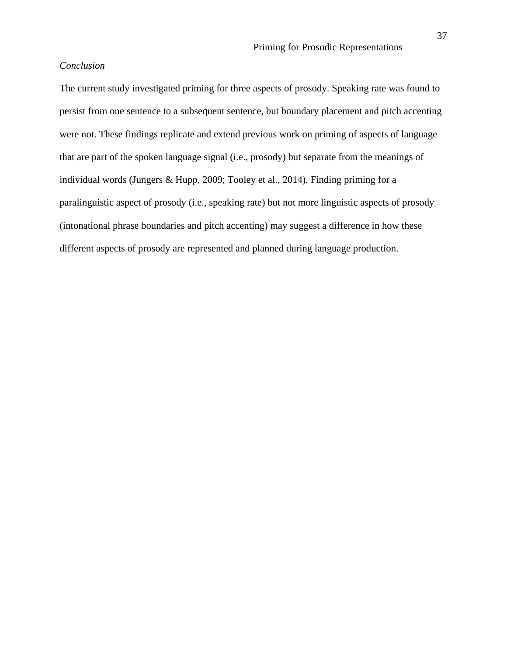# *Conclusion*

The current study investigated priming for three aspects of prosody. Speaking rate was found to persist from one sentence to a subsequent sentence, but boundary placement and pitch accenting were not. These findings replicate and extend previous work on priming of aspects of language that are part of the spoken language signal (i.e., prosody) but separate from the meanings of individual words (Jungers & Hupp, 2009; Tooley et al., 2014). Finding priming for a paralinguistic aspect of prosody (i.e., speaking rate) but not more linguistic aspects of prosody (intonational phrase boundaries and pitch accenting) may suggest a difference in how these different aspects of prosody are represented and planned during language production.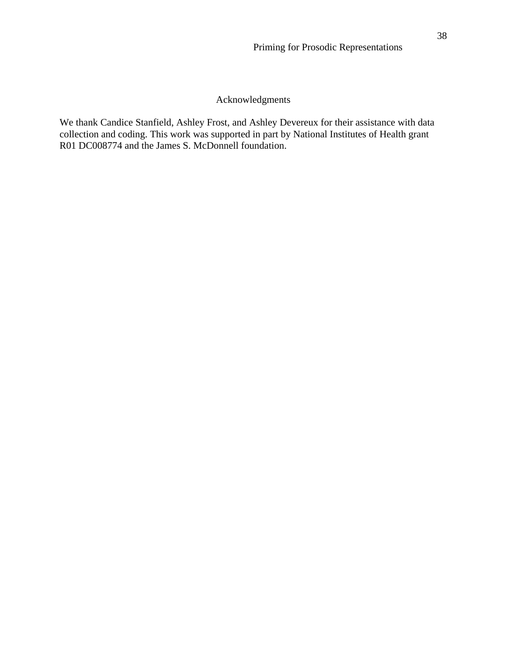# Acknowledgments

We thank Candice Stanfield, Ashley Frost, and Ashley Devereux for their assistance with data collection and coding. This work was supported in part by National Institutes of Health grant R01 DC008774 and the James S. McDonnell foundation.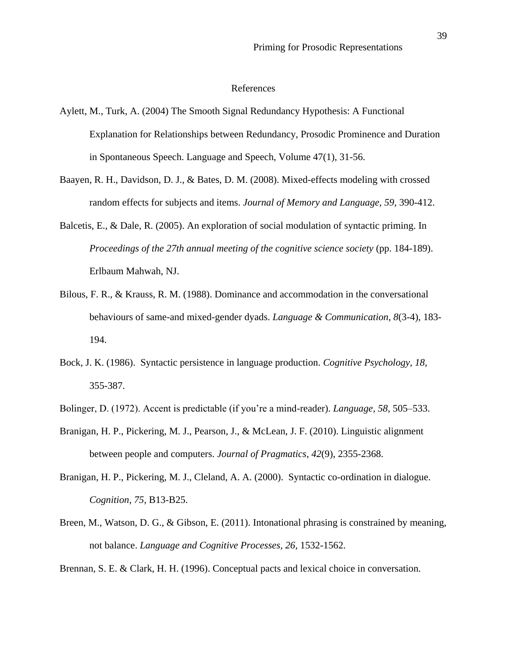# References

- Aylett, M., Turk, A. (2004) The Smooth Signal Redundancy Hypothesis: A Functional Explanation for Relationships between Redundancy, Prosodic Prominence and Duration in Spontaneous Speech. Language and Speech, Volume 47(1), 31-56.
- Baayen, R. H., Davidson, D. J., & Bates, D. M. (2008). Mixed-effects modeling with crossed random effects for subjects and items. *Journal of Memory and Language, 59*, 390-412.
- Balcetis, E., & Dale, R. (2005). An exploration of social modulation of syntactic priming. In *Proceedings of the 27th annual meeting of the cognitive science society* (pp. 184-189). Erlbaum Mahwah, NJ.
- Bilous, F. R., & Krauss, R. M. (1988). Dominance and accommodation in the conversational behaviours of same-and mixed-gender dyads. *Language & Communication*, *8*(3-4), 183- 194.
- Bock, J. K. (1986). Syntactic persistence in language production. *Cognitive Psychology, 18*, 355-387.
- Bolinger, D. (1972). Accent is predictable (if you're a mind-reader). *Language, 58*, 505–533.
- Branigan, H. P., Pickering, M. J., Pearson, J., & McLean, J. F. (2010). Linguistic alignment between people and computers. *Journal of Pragmatics*, *42*(9), 2355-2368.
- Branigan, H. P., Pickering, M. J., Cleland, A. A. (2000). Syntactic co-ordination in dialogue. *Cognition, 75*, B13-B25.
- Breen, M., Watson, D. G., & Gibson, E. (2011). Intonational phrasing is constrained by meaning, not balance. *Language and Cognitive Processes, 26*, 1532-1562.

Brennan, S. E. & Clark, H. H. (1996). Conceptual pacts and lexical choice in conversation.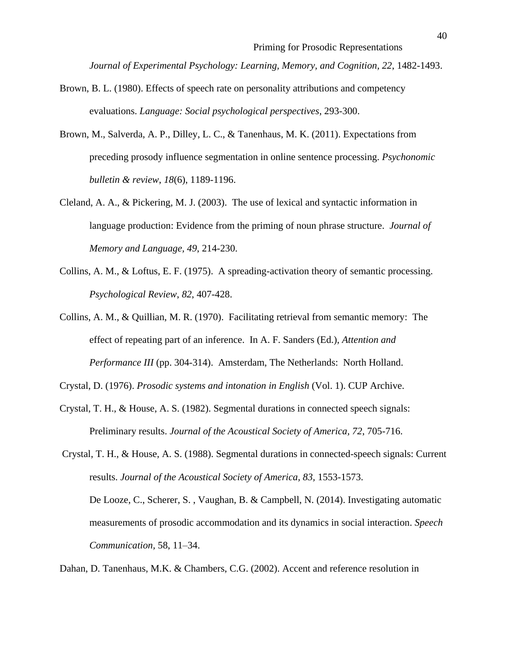*Journal of Experimental Psychology: Learning, Memory, and Cognition, 22*, 1482-1493.

- Brown, B. L. (1980). Effects of speech rate on personality attributions and competency evaluations. *Language: Social psychological perspectives*, 293-300.
- Brown, M., Salverda, A. P., Dilley, L. C., & Tanenhaus, M. K. (2011). Expectations from preceding prosody influence segmentation in online sentence processing. *Psychonomic bulletin & review*, *18*(6), 1189-1196.
- Cleland, A. A., & Pickering, M. J. (2003). The use of lexical and syntactic information in language production: Evidence from the priming of noun phrase structure. *Journal of Memory and Language, 49*, 214-230.
- Collins, A. M., & Loftus, E. F. (1975). A spreading-activation theory of semantic processing. *Psychological Review*, *82*, 407-428.
- Collins, A. M., & Quillian, M. R. (1970). Facilitating retrieval from semantic memory: The effect of repeating part of an inference. In A. F. Sanders (Ed.), *Attention and Performance III* (pp. 304-314). Amsterdam, The Netherlands: North Holland.

Crystal, D. (1976). *Prosodic systems and intonation in English* (Vol. 1). CUP Archive.

Crystal, T. H., & House, A. S. (1982). Segmental durations in connected speech signals: Preliminary results. *Journal of the Acoustical Society of America, 72*, 705-716.

Crystal, T. H., & House, A. S. (1988). Segmental durations in connected-speech signals: Current results. *Journal of the Acoustical Society of America, 83,* 1553-1573. De Looze, C., Scherer, S. , Vaughan, B. & Campbell, N. (2014). Investigating automatic measurements of prosodic accommodation and its dynamics in social interaction. *Speech Communication,* 58, 11–34.

Dahan, D. Tanenhaus, M.K. & Chambers, C.G. (2002). Accent and reference resolution in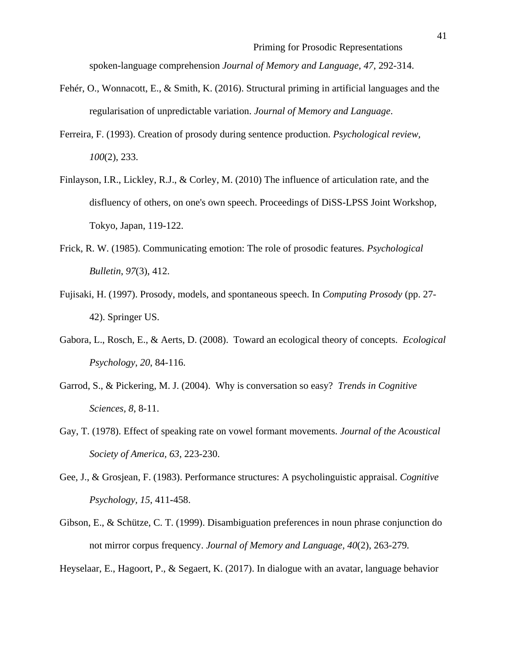spoken-language comprehension *Journal of Memory and Language, 47*, 292-314.

- Fehér, O., Wonnacott, E., & Smith, K. (2016). Structural priming in artificial languages and the regularisation of unpredictable variation. *Journal of Memory and Language*.
- Ferreira, F. (1993). Creation of prosody during sentence production. *Psychological review, 100*(2), 233.
- Finlayson, I.R., Lickley, R.J., & Corley, M. (2010) The influence of articulation rate, and the disfluency of others, on one's own speech. Proceedings of DiSS-LPSS Joint Workshop, Tokyo, Japan, 119-122.
- Frick, R. W. (1985). Communicating emotion: The role of prosodic features. *Psychological Bulletin*, *97*(3), 412.
- Fujisaki, H. (1997). Prosody, models, and spontaneous speech. In *Computing Prosody* (pp. 27- 42). Springer US.
- Gabora, L., Rosch, E., & Aerts, D. (2008). Toward an ecological theory of concepts. *Ecological Psychology*, *20*, 84-116.
- Garrod, S., & Pickering, M. J. (2004). Why is conversation so easy? *Trends in Cognitive Sciences, 8*, 8-11.
- Gay, T. (1978). Effect of speaking rate on vowel formant movements. *Journal of the Acoustical Society of America, 63*, 223-230.
- Gee, J., & Grosjean, F. (1983). Performance structures: A psycholinguistic appraisal. *Cognitive Psychology, 15*, 411**-**458.
- Gibson, E., & Schütze, C. T. (1999). Disambiguation preferences in noun phrase conjunction do not mirror corpus frequency. *Journal of Memory and Language, 40*(2), 263-279*.*

Heyselaar, E., Hagoort, P., & Segaert, K. (2017). In dialogue with an avatar, language behavior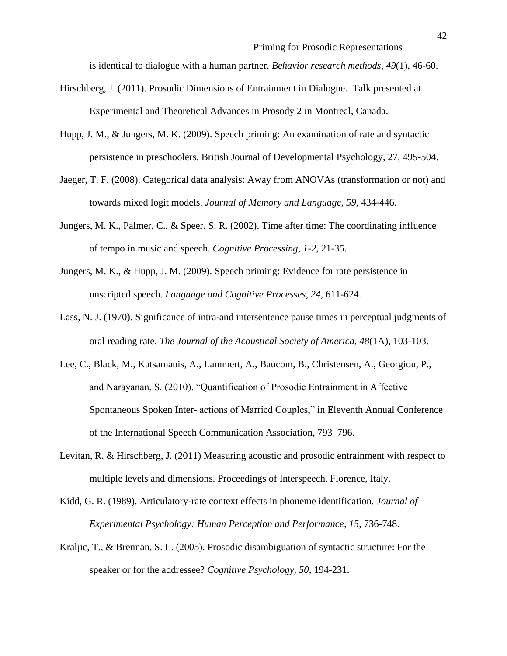is identical to dialogue with a human partner. *Behavior research methods*, *49*(1), 46-60.

- Hirschberg, J. (2011). Prosodic Dimensions of Entrainment in Dialogue. Talk presented at Experimental and Theoretical Advances in Prosody 2 in Montreal, Canada.
- Hupp, J. M., & Jungers, M. K. (2009). Speech priming: An examination of rate and syntactic persistence in preschoolers. British Journal of Developmental Psychology, 27, 495-504.
- Jaeger, T. F. (2008). Categorical data analysis: Away from ANOVAs (transformation or not) and towards mixed logit models. *Journal of Memory and Language, 59,* 434-446*.*
- Jungers, M. K., Palmer, C., & Speer, S. R. (2002). Time after time: The coordinating influence of tempo in music and speech. *Cognitive Processing, 1-2*, 21-35.
- Jungers, M. K., & Hupp, J. M. (2009). Speech priming: Evidence for rate persistence in unscripted speech. *Language and Cognitive Processes, 24*, 611-624.
- Lass, N. J. (1970). Significance of intra-and intersentence pause times in perceptual judgments of oral reading rate. *The Journal of the Acoustical Society of America*, *48*(1A), 103-103.
- Lee, C., Black, M., Katsamanis, A., Lammert, A., Baucom, B., Christensen, A., Georgiou, P., and Narayanan, S. (2010). "Quantification of Prosodic Entrainment in Affective Spontaneous Spoken Inter- actions of Married Couples," in Eleventh Annual Conference of the International Speech Communication Association, 793–796.
- Levitan, R. & Hirschberg, J. (2011) Measuring acoustic and prosodic entrainment with respect to multiple levels and dimensions. Proceedings of Interspeech, Florence, Italy.
- Kidd, G. R. (1989). Articulatory-rate context effects in phoneme identification. *Journal of Experimental Psychology: Human Perception and Performance, 15*, 736-748.
- Kraljic, T., & Brennan, S. E. (2005). Prosodic disambiguation of syntactic structure: For the speaker or for the addressee? *Cognitive Psychology, 50*, 194**-**231.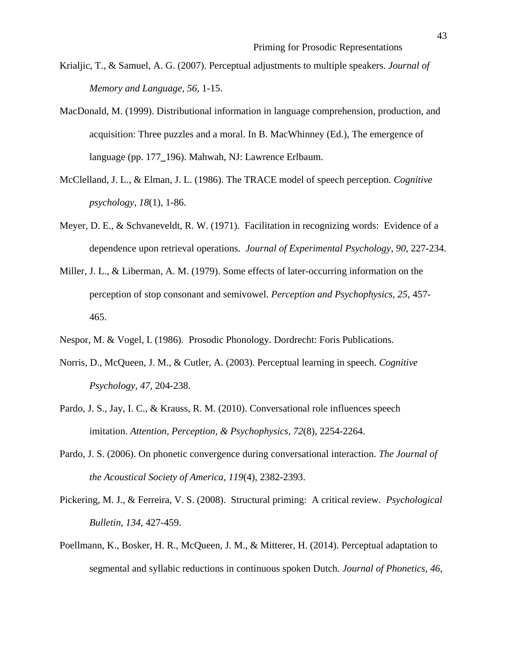- Krialjic, T., & Samuel, A. G. (2007). Perceptual adjustments to multiple speakers. *Journal of Memory and Language, 56*, 1-15.
- MacDonald, M. (1999). Distributional information in language comprehension, production, and acquisition: Three puzzles and a moral. In B. MacWhinney (Ed.), The emergence of language (pp. 177**\_**196). Mahwah, NJ: Lawrence Erlbaum.
- McClelland, J. L., & Elman, J. L. (1986). The TRACE model of speech perception. *Cognitive psychology*, *18*(1), 1-86.
- Meyer, D. E., & Schvaneveldt, R. W. (1971). Facilitation in recognizing words: Evidence of a dependence upon retrieval operations. *Journal of Experimental Psychology*, *90*, 227-234.
- Miller, J. L., & Liberman, A. M. (1979). Some effects of later-occurring information on the perception of stop consonant and semivowel. *Perception and Psychophysics, 25*, 457- 465.
- Nespor, M. & Vogel, I. (1986). Prosodic Phonology. Dordrecht: Foris Publications.
- Norris, D., McQueen, J. M., & Cutler, A. (2003). Perceptual learning in speech. *Cognitive Psychology, 47*, 204-238.
- Pardo, J. S., Jay, I. C., & Krauss, R. M. (2010). Conversational role influences speech imitation. *Attention, Perception, & Psychophysics*, *72*(8), 2254-2264.
- Pardo, J. S. (2006). On phonetic convergence during conversational interaction. *The Journal of the Acoustical Society of America*, *119*(4), 2382-2393.
- Pickering, M. J., & Ferreira, V. S. (2008). Structural priming: A critical review. *Psychological Bulletin*, *134*, 427-459.
- Poellmann, K., Bosker, H. R., McQueen, J. M., & Mitterer, H. (2014). Perceptual adaptation to segmental and syllabic reductions in continuous spoken Dutch. *Journal of Phonetics*, *46*,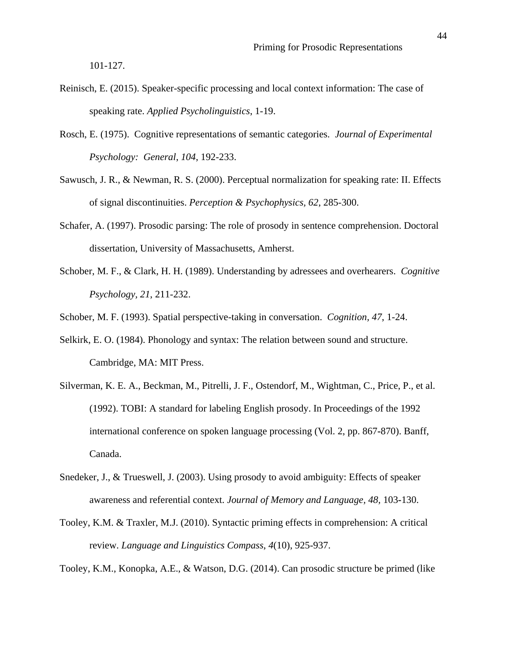101-127.

- Reinisch, E. (2015). Speaker-specific processing and local context information: The case of speaking rate. *Applied Psycholinguistics*, 1-19.
- Rosch, E. (1975). Cognitive representations of semantic categories. *Journal of Experimental Psychology: General*, *104*, 192-233.
- Sawusch, J. R., & Newman, R. S. (2000). Perceptual normalization for speaking rate: II. Effects of signal discontinuities. *Perception & Psychophysics, 62*, 285-300.
- Schafer, A. (1997). Prosodic parsing: The role of prosody in sentence comprehension. Doctoral dissertation, University of Massachusetts, Amherst.
- Schober, M. F., & Clark, H. H. (1989). Understanding by adressees and overhearers. *Cognitive Psychology, 21*, 211-232.

Schober, M. F. (1993). Spatial perspective-taking in conversation. *Cognition, 47*, 1-24.

- Selkirk, E. O. (1984). Phonology and syntax: The relation between sound and structure. Cambridge, MA: MIT Press.
- Silverman, K. E. A., Beckman, M., Pitrelli, J. F., Ostendorf, M., Wightman, C., Price, P., et al. (1992). TOBI: A standard for labeling English prosody. In Proceedings of the 1992 international conference on spoken language processing (Vol. 2, pp. 867**-**870). Banff, Canada.
- Snedeker, J., & Trueswell, J. (2003). Using prosody to avoid ambiguity: Effects of speaker awareness and referential context. *Journal of Memory and Language, 48,* 103**-**130.
- Tooley, K.M. & Traxler, M.J. (2010). Syntactic priming effects in comprehension: A critical review. *Language and Linguistics Compass*, *4*(10), 925-937.

Tooley, K.M., Konopka, A.E., & Watson, D.G. (2014). Can prosodic structure be primed (like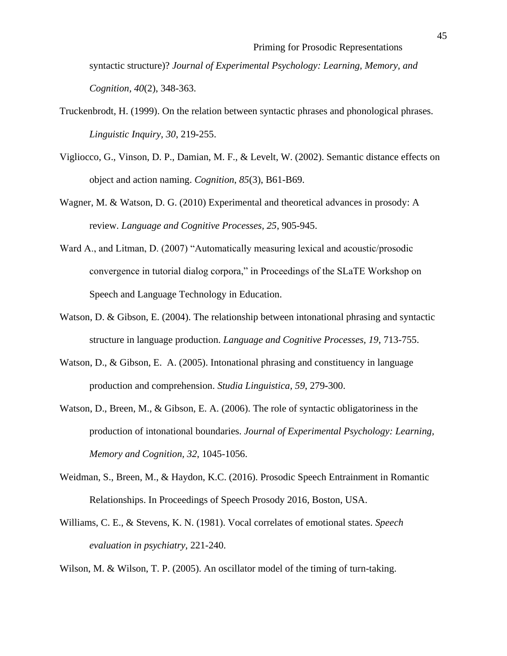syntactic structure)? *Journal of Experimental Psychology: Learning, Memory, and Cognition, 40*(2), 348-363.

- Truckenbrodt, H. (1999). On the relation between syntactic phrases and phonological phrases. *Linguistic Inquiry, 30*, 219**-**255.
- Vigliocco, G., Vinson, D. P., Damian, M. F., & Levelt, W. (2002). Semantic distance effects on object and action naming. *Cognition*, *85*(3), B61-B69.
- Wagner, M. & Watson, D. G. (2010) Experimental and theoretical advances in prosody: A review. *Language and Cognitive Processes, 25*, 905-945.
- Ward A., and Litman, D. (2007) "Automatically measuring lexical and acoustic/prosodic convergence in tutorial dialog corpora," in Proceedings of the SLaTE Workshop on Speech and Language Technology in Education.
- Watson, D. & Gibson, E. (2004). The relationship between intonational phrasing and syntactic structure in language production. *Language and Cognitive Processes, 19*, 713-755.
- Watson, D., & Gibson, E. A. (2005). Intonational phrasing and constituency in language production and comprehension. *Studia Linguistica, 59*, 279**-**300.
- Watson, D., Breen, M., & Gibson, E. A. (2006). The role of syntactic obligatoriness in the production of intonational boundaries. *Journal of Experimental Psychology: Learning, Memory and Cognition, 32*, 1045-1056.
- Weidman, S., Breen, M., & Haydon, K.C. (2016). Prosodic Speech Entrainment in Romantic Relationships. In Proceedings of Speech Prosody 2016, Boston, USA.
- Williams, C. E., & Stevens, K. N. (1981). Vocal correlates of emotional states. *Speech evaluation in psychiatry*, 221-240.

Wilson, M. & Wilson, T. P. (2005). An oscillator model of the timing of turn-taking.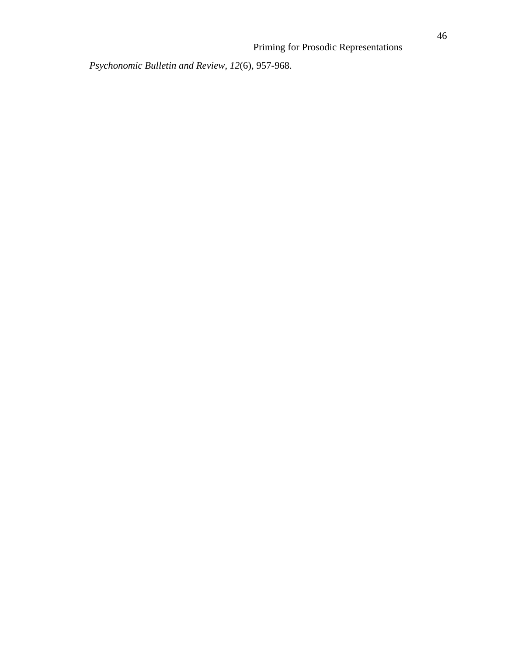*Psychonomic Bulletin and Review, 12*(6), 957-968.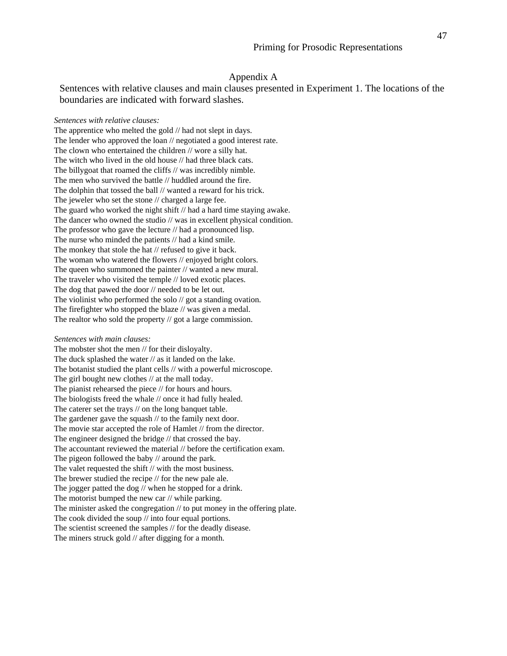# Appendix A

Sentences with relative clauses and main clauses presented in Experiment 1. The locations of the boundaries are indicated with forward slashes.

#### *Sentences with relative clauses:*

The apprentice who melted the gold // had not slept in days. The lender who approved the loan // negotiated a good interest rate. The clown who entertained the children // wore a silly hat. The witch who lived in the old house // had three black cats. The billygoat that roamed the cliffs // was incredibly nimble. The men who survived the battle // huddled around the fire. The dolphin that tossed the ball // wanted a reward for his trick. The jeweler who set the stone // charged a large fee. The guard who worked the night shift // had a hard time staying awake. The dancer who owned the studio // was in excellent physical condition. The professor who gave the lecture // had a pronounced lisp. The nurse who minded the patients // had a kind smile. The monkey that stole the hat // refused to give it back. The woman who watered the flowers // enjoyed bright colors. The queen who summoned the painter // wanted a new mural. The traveler who visited the temple // loved exotic places. The dog that pawed the door // needed to be let out. The violinist who performed the solo // got a standing ovation. The firefighter who stopped the blaze // was given a medal. The realtor who sold the property // got a large commission.

#### *Sentences with main clauses:*

The mobster shot the men // for their disloyalty. The duck splashed the water // as it landed on the lake. The botanist studied the plant cells // with a powerful microscope. The girl bought new clothes // at the mall today. The pianist rehearsed the piece // for hours and hours. The biologists freed the whale // once it had fully healed. The caterer set the trays // on the long banquet table. The gardener gave the squash // to the family next door. The movie star accepted the role of Hamlet // from the director. The engineer designed the bridge // that crossed the bay. The accountant reviewed the material // before the certification exam. The pigeon followed the baby // around the park. The valet requested the shift // with the most business. The brewer studied the recipe // for the new pale ale. The jogger patted the dog // when he stopped for a drink. The motorist bumped the new car // while parking. The minister asked the congregation // to put money in the offering plate. The cook divided the soup // into four equal portions. The scientist screened the samples // for the deadly disease. The miners struck gold // after digging for a month.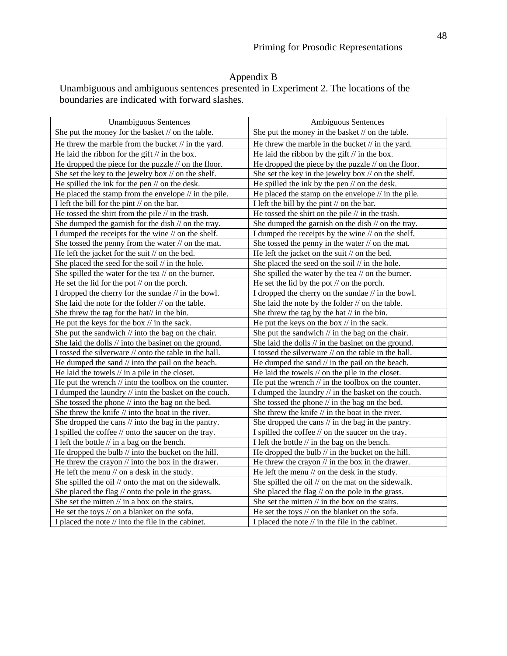# Appendix B

Unambiguous and ambiguous sentences presented in Experiment 2. The locations of the boundaries are indicated with forward slashes.

| <b>Unambiguous Sentences</b>                                     | Ambiguous Sentences                                            |
|------------------------------------------------------------------|----------------------------------------------------------------|
| She put the money for the basket // on the table.                | She put the money in the basket // on the table.               |
| He threw the marble from the bucket $//$ in the yard.            | He threw the marble in the bucket $//$ in the yard.            |
| He laid the ribbon for the gift $//$ in the box.                 | He laid the ribbon by the gift $//$ in the box.                |
| He dropped the piece for the puzzle $\mathcal N$ on the floor.   | He dropped the piece by the puzzle $\frac{1}{2}$ on the floor. |
| She set the key to the jewelry box // on the shelf.              | She set the key in the jewelry box // on the shelf.            |
| He spilled the ink for the pen $//$ on the desk.                 | He spilled the ink by the pen $\mathcal N$ on the desk.        |
| He placed the stamp from the envelope $\frac{1}{i}$ in the pile. | He placed the stamp on the envelope $//$ in the pile.          |
| I left the bill for the pint // on the bar.                      | I left the bill by the pint $//$ on the bar.                   |
| He tossed the shirt from the pile $//$ in the trash.             | He tossed the shirt on the pile $//$ in the trash.             |
| She dumped the garnish for the dish // on the tray.              | She dumped the garnish on the dish // on the tray.             |
| I dumped the receipts for the wine // on the shelf.              | I dumped the receipts by the wine // on the shelf.             |
| She tossed the penny from the water $//$ on the mat.             | She tossed the penny in the water $//$ on the mat.             |
| He left the jacket for the suit // on the bed.                   | He left the jacket on the suit $\theta$ on the bed.            |
| She placed the seed for the soil // in the hole.                 | She placed the seed on the soil // in the hole.                |
| She spilled the water for the tea // on the burner.              | She spilled the water by the tea // on the burner.             |
| He set the lid for the pot $//$ on the porch.                    | He set the lid by the pot $//$ on the porch.                   |
| I dropped the cherry for the sundae // in the bowl.              | I dropped the cherry on the sundae // in the bowl.             |
| She laid the note for the folder // on the table.                | She laid the note by the folder // on the table.               |
| She threw the tag for the hat// in the bin.                      | She threw the tag by the hat $//$ in the bin.                  |
| He put the keys for the box $\frac{1}{1}$ in the sack.           | He put the keys on the box $\frac{1}{1}$ in the sack.          |
| She put the sandwich $\theta$ into the bag on the chair.         | She put the sandwich $\frac{1}{1}$ in the bag on the chair.    |
| She laid the dolls // into the basinet on the ground.            | She laid the dolls $//$ in the basinet on the ground.          |
| I tossed the silverware // onto the table in the hall.           | I tossed the silverware // on the table in the hall.           |
| He dumped the sand // into the pail on the beach.                | He dumped the sand $//$ in the pail on the beach.              |
| He laid the towels $//$ in a pile in the closet.                 | He laid the towels // on the pile in the closet.               |
| He put the wrench $\frac{1}{i}$ into the toolbox on the counter. | He put the wrench $\pi$ in the toolbox on the counter.         |
| I dumped the laundry // into the basket on the couch.            | I dumped the laundry // in the basket on the couch.            |
| She tossed the phone // into the bag on the bed.                 | She tossed the phone $\pi$ in the bag on the bed.              |
| She threw the knife // into the boat in the river.               | She threw the knife // in the boat in the river.               |
| She dropped the cans $\frac{1}{1}$ into the bag in the pantry.   | She dropped the cans $//$ in the bag in the pantry.            |
| I spilled the coffee // onto the saucer on the tray.             | I spilled the coffee // on the saucer on the tray.             |
| I left the bottle // in a bag on the bench.                      | I left the bottle // in the bag on the bench.                  |
| He dropped the bulb $\theta$ into the bucket on the hill.        | He dropped the bulb $\ell$ in the bucket on the hill.          |
| He threw the crayon $\frac{1}{1}$ into the box in the drawer.    | He threw the crayon $//$ in the box in the drawer.             |
| He left the menu $\theta$ on a desk in the study.                | He left the menu // on the desk in the study.                  |
| She spilled the oil // onto the mat on the sidewalk.             | She spilled the oil // on the mat on the sidewalk.             |
| She placed the flag // onto the pole in the grass.               | She placed the flag $//$ on the pole in the grass.             |
| She set the mitten $//$ in a box on the stairs.                  | She set the mitten $//$ in the box on the stairs.              |
| He set the toys // on a blanket on the sofa.                     | He set the toys // on the blanket on the sofa.                 |
| I placed the note $//$ into the file in the cabinet.             | I placed the note $//$ in the file in the cabinet.             |